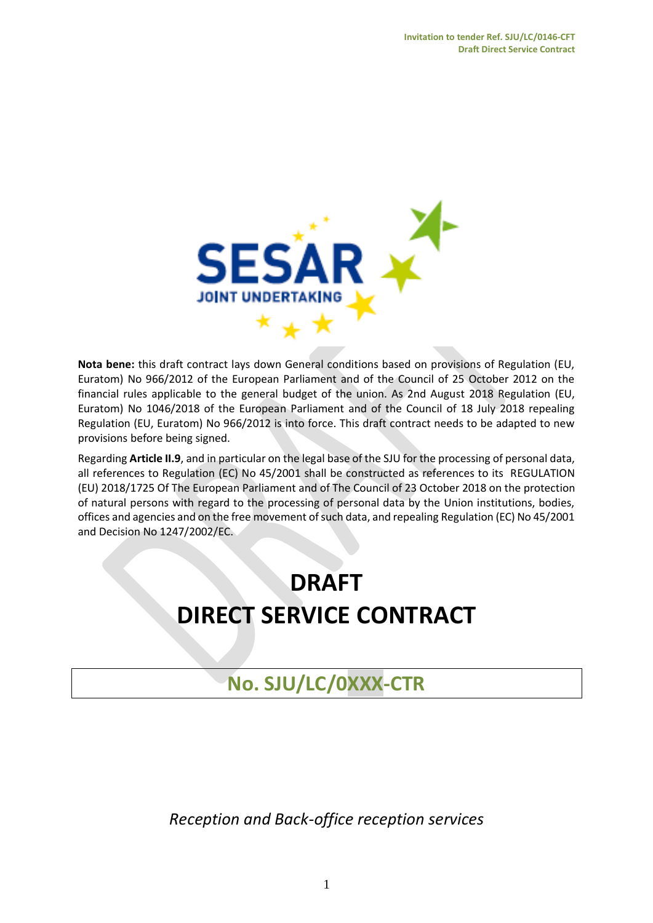

**Nota bene:** this draft contract lays down General conditions based on provisions of Regulation (EU, Euratom) No 966/2012 of the European Parliament and of the Council of 25 October 2012 on the financial rules applicable to the general budget of the union. As 2nd August 2018 Regulation (EU, Euratom) No 1046/2018 of the European Parliament and of the Council of 18 July 2018 repealing Regulation (EU, Euratom) No 966/2012 is into force. This draft contract needs to be adapted to new provisions before being signed.

Regarding **Article II.9**, and in particular on the legal base of the SJU for the processing of personal data, all references to Regulation (EC) No 45/2001 shall be constructed as references to its REGULATION (EU) 2018/1725 Of The European Parliament and of The Council of 23 October 2018 on the protection of natural persons with regard to the processing of personal data by the Union institutions, bodies, offices and agencies and on the free movement of such data, and repealing Regulation (EC) No 45/2001 and Decision No 1247/2002/EC.

# **DRAFT DIRECT SERVICE CONTRACT**

## **No. SJU/LC/0XXX-CTR**

*Reception and Back-office reception services*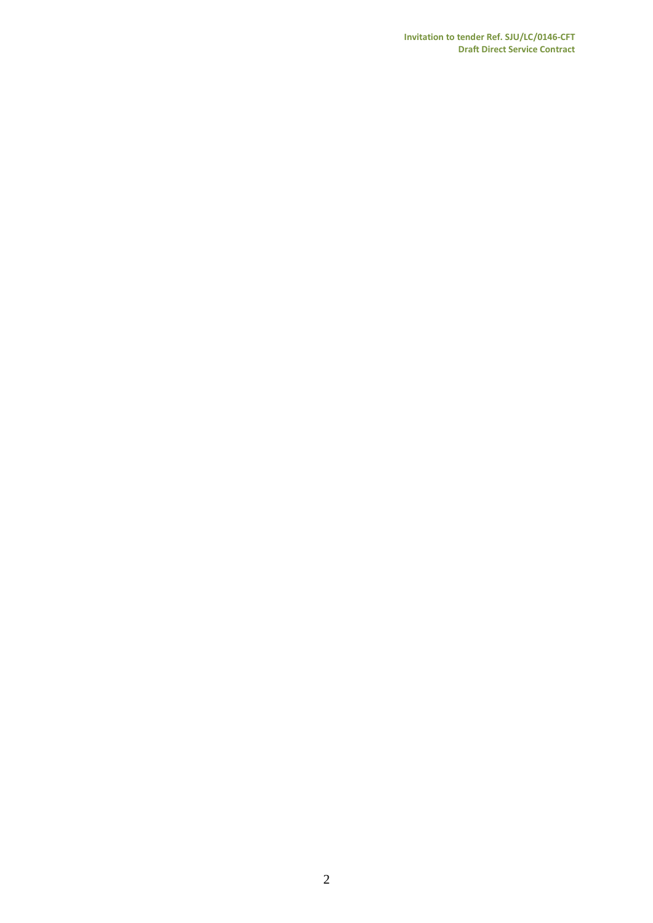**Invitation to tender Ref. SJU/LC/0146-CFT Draft Direct Service Contract**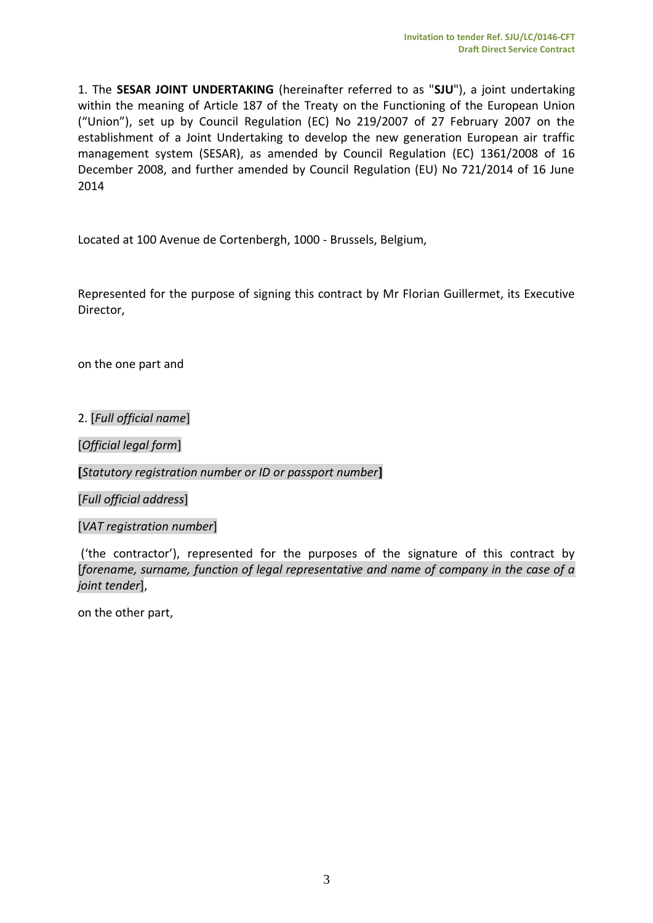1. The **SESAR JOINT UNDERTAKING** (hereinafter referred to as "**SJU**"), a joint undertaking within the meaning of Article 187 of the Treaty on the Functioning of the European Union ("Union"), set up by Council Regulation (EC) No 219/2007 of 27 February 2007 on the establishment of a Joint Undertaking to develop the new generation European air traffic management system (SESAR), as amended by Council Regulation (EC) 1361/2008 of 16 December 2008, and further amended by Council Regulation (EU) No 721/2014 of 16 June 2014

Located at 100 Avenue de Cortenbergh, 1000 - Brussels, Belgium,

Represented for the purpose of signing this contract by Mr Florian Guillermet, its Executive Director,

on the one part and

2. [*Full official name*]

[*Official legal form*]

**[***Statutory registration number or ID or passport number***]**

[*Full official address*]

[*VAT registration number*]

('the contractor'), represented for the purposes of the signature of this contract by [*forename, surname, function of legal representative and name of company in the case of a joint tender*],

on the other part,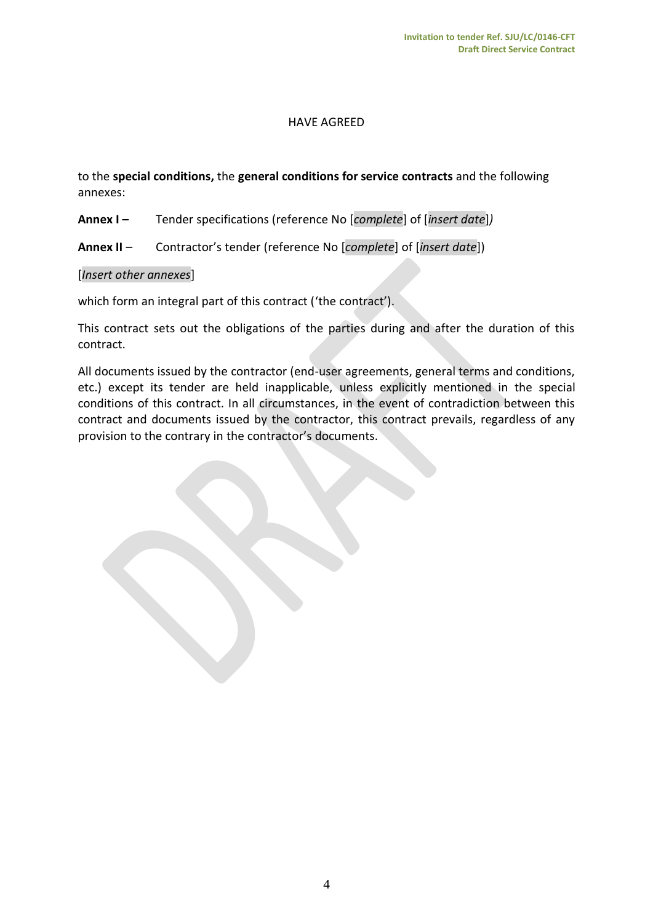#### HAVE AGREED

to the **special conditions,** the **general conditions for service contracts** and the following annexes:

- **Annex I –** Tender specifications (reference No [*complete*] of [*insert date*]*)*
- **Annex II** Contractor's tender (reference No [*complete*] of [*insert date*])

#### [*Insert other annexes*]

which form an integral part of this contract ('the contract').

This contract sets out the obligations of the parties during and after the duration of this contract.

All documents issued by the contractor (end-user agreements, general terms and conditions, etc.) except its tender are held inapplicable, unless explicitly mentioned in the special conditions of this contract. In all circumstances, in the event of contradiction between this contract and documents issued by the contractor, this contract prevails, regardless of any provision to the contrary in the contractor's documents.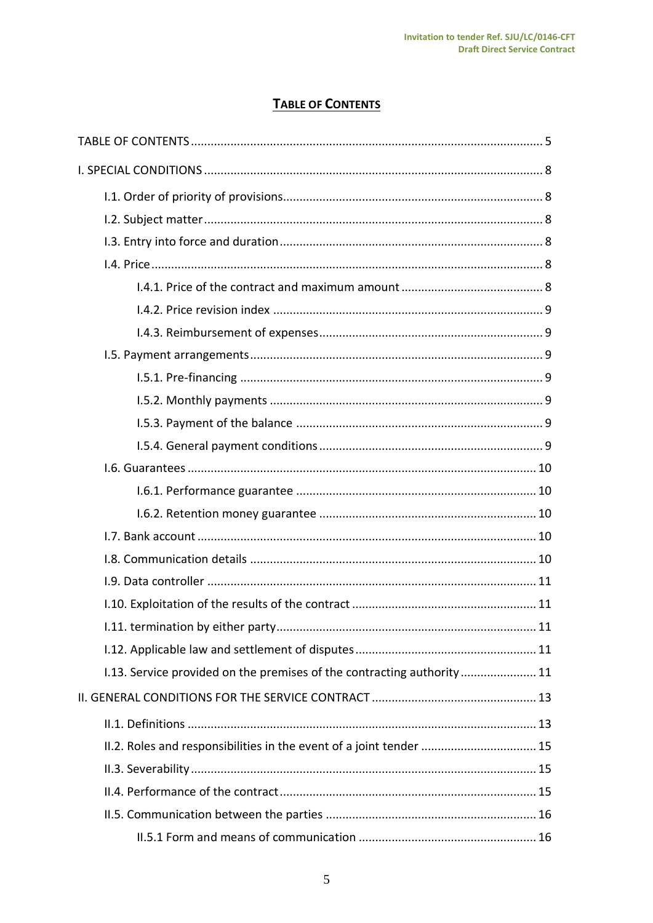## **TABLE OF CONTENTS**

| 1.13. Service provided on the premises of the contracting authority 11 |  |
|------------------------------------------------------------------------|--|
|                                                                        |  |
|                                                                        |  |
| II.2. Roles and responsibilities in the event of a joint tender  15    |  |
|                                                                        |  |
|                                                                        |  |
|                                                                        |  |
|                                                                        |  |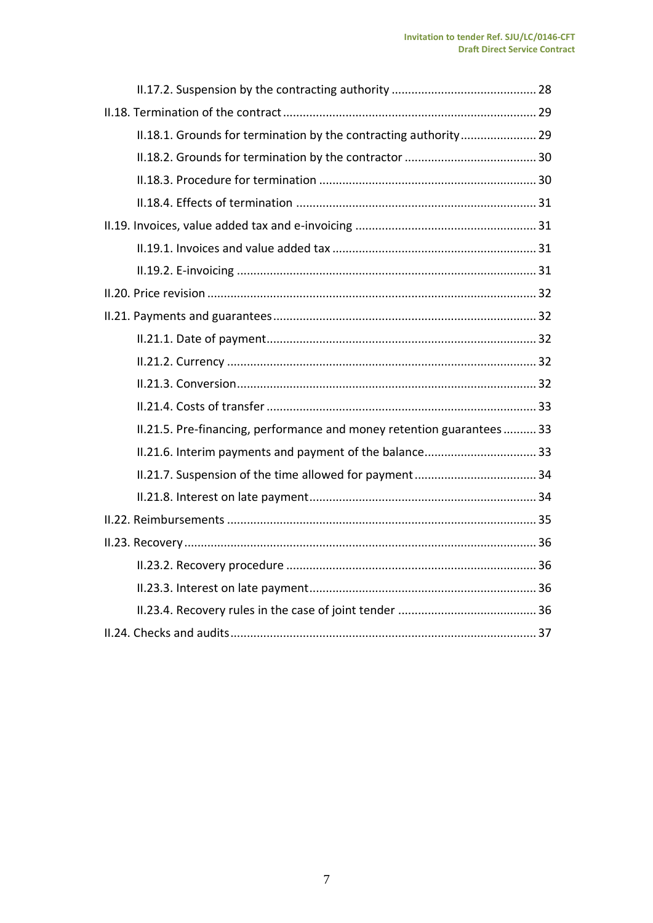| II.18.1. Grounds for termination by the contracting authority 29      |  |
|-----------------------------------------------------------------------|--|
|                                                                       |  |
|                                                                       |  |
|                                                                       |  |
|                                                                       |  |
|                                                                       |  |
|                                                                       |  |
|                                                                       |  |
|                                                                       |  |
|                                                                       |  |
|                                                                       |  |
|                                                                       |  |
|                                                                       |  |
| II.21.5. Pre-financing, performance and money retention guarantees 33 |  |
| II.21.6. Interim payments and payment of the balance 33               |  |
|                                                                       |  |
|                                                                       |  |
|                                                                       |  |
|                                                                       |  |
|                                                                       |  |
|                                                                       |  |
|                                                                       |  |
|                                                                       |  |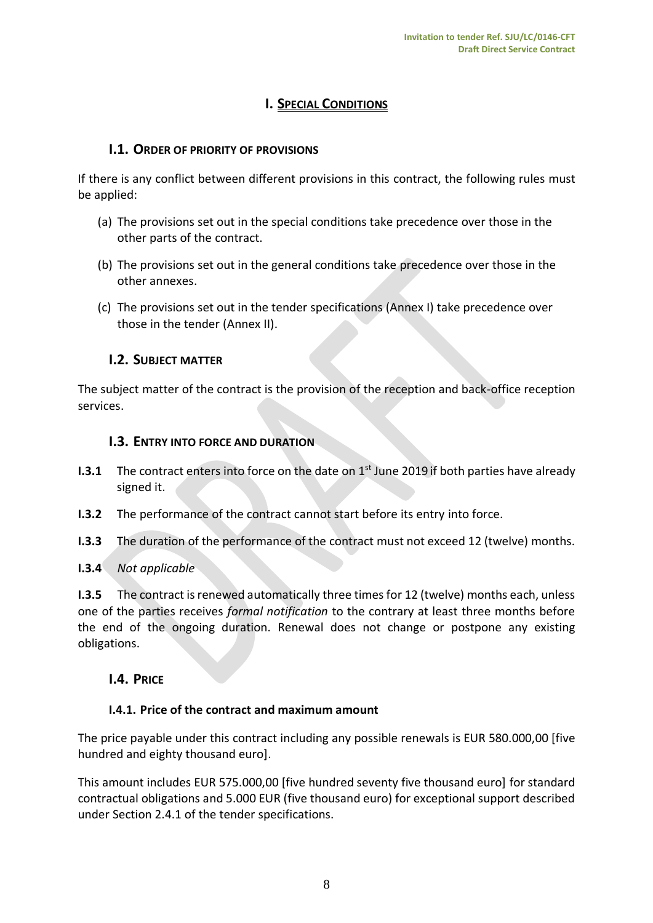## **I. SPECIAL CONDITIONS**

## **I.1. ORDER OF PRIORITY OF PROVISIONS**

If there is any conflict between different provisions in this contract, the following rules must be applied:

- (a) The provisions set out in the special conditions take precedence over those in the other parts of the contract.
- (b) The provisions set out in the general conditions take precedence over those in the other annexes.
- (c) The provisions set out in the tender specifications (Annex I) take precedence over those in the tender (Annex II).

## **I.2. SUBJECT MATTER**

The subject matter of the contract is the provision of the reception and back-office reception services.

## **I.3. ENTRY INTO FORCE AND DURATION**

- **I.3.1** The contract enters into force on the date on 1<sup>st</sup> June 2019 if both parties have already signed it.
- **I.3.2** The performance of the contract cannot start before its entry into force.
- **I.3.3** The duration of the performance of the contract must not exceed 12 (twelve) months.
- **I.3.4** *Not applicable*

**I.3.5** The contract is renewed automatically three times for 12 (twelve) months each, unless one of the parties receives *formal notification* to the contrary at least three months before the end of the ongoing duration. Renewal does not change or postpone any existing obligations.

## **I.4. PRICE**

## **I.4.1. Price of the contract and maximum amount**

The price payable under this contract including any possible renewals is EUR 580.000,00 [five hundred and eighty thousand euro].

This amount includes EUR 575.000,00 [five hundred seventy five thousand euro] for standard contractual obligations and 5.000 EUR (five thousand euro) for exceptional support described under Section 2.4.1 of the tender specifications.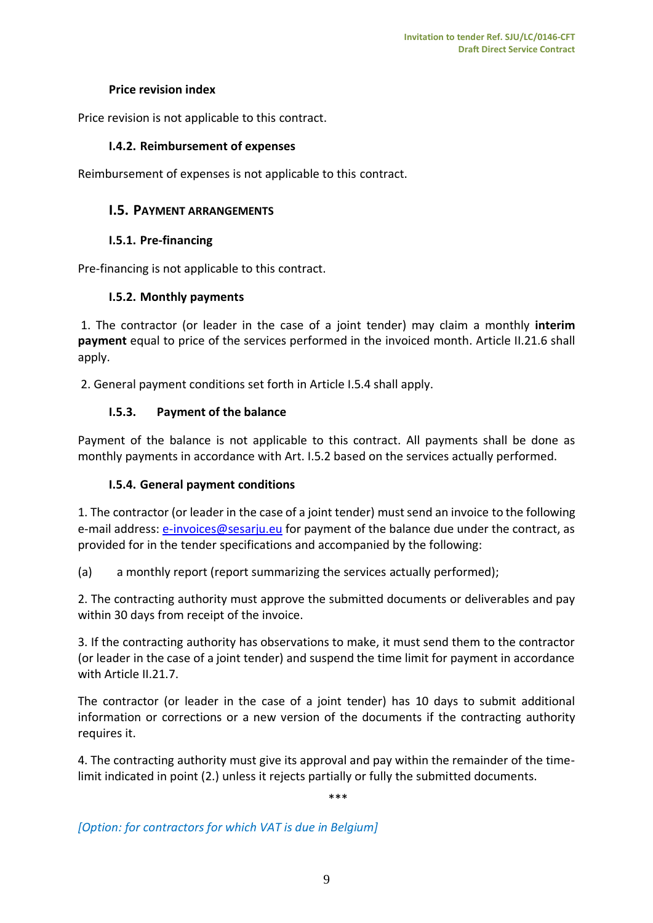#### **Price revision index**

Price revision is not applicable to this contract.

#### **I.4.2. Reimbursement of expenses**

Reimbursement of expenses is not applicable to this contract.

## **I.5. PAYMENT ARRANGEMENTS**

## **I.5.1. Pre-financing**

Pre-financing is not applicable to this contract.

#### **I.5.2. Monthly payments**

1. The contractor (or leader in the case of a joint tender) may claim a monthly **interim payment** equal to price of the services performed in the invoiced month. Article II.21.6 shall apply.

2. General payment conditions set forth in Article I.5.4 shall apply.

## **I.5.3. Payment of the balance**

Payment of the balance is not applicable to this contract. All payments shall be done as monthly payments in accordance with Art. I.5.2 based on the services actually performed.

## **I.5.4. General payment conditions**

1. The contractor (or leader in the case of a joint tender) must send an invoice to the following e-mail address: e-invoices@sesarju.eu for payment of the balance due under the contract, as provided for in the tender specifications and accompanied by the following:

(a) a monthly report (report summarizing the services actually performed);

2. The contracting authority must approve the submitted documents or deliverables and pay within 30 days from receipt of the invoice.

3. If the contracting authority has observations to make, it must send them to the contractor (or leader in the case of a joint tender) and suspend the time limit for payment in accordance with Article II.21.7.

The contractor (or leader in the case of a joint tender) has 10 days to submit additional information or corrections or a new version of the documents if the contracting authority requires it.

4. The contracting authority must give its approval and pay within the remainder of the timelimit indicated in point (2.) unless it rejects partially or fully the submitted documents.

\*\*\*

*[Option: for contractors for which VAT is due in Belgium]*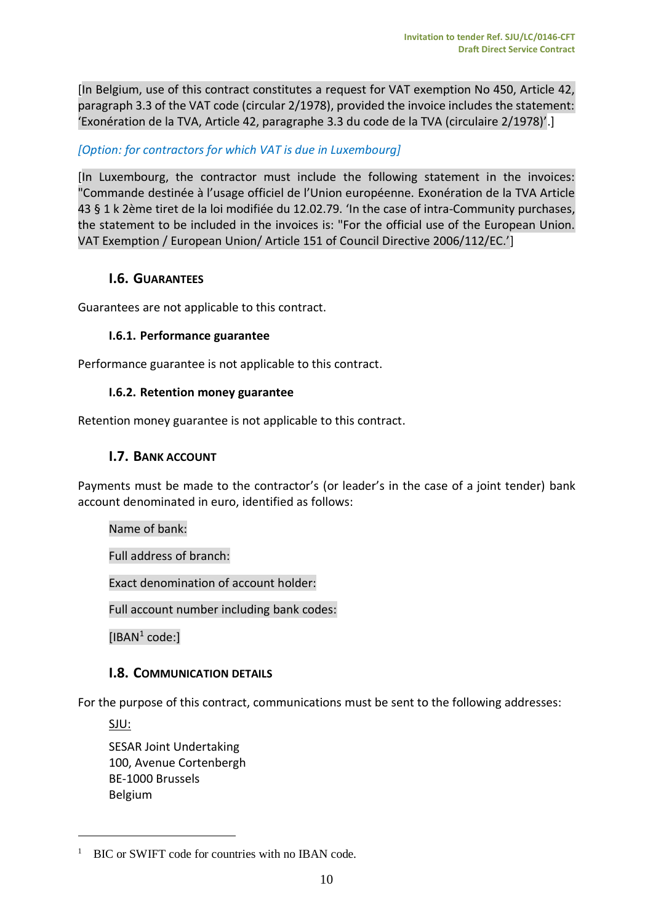[In Belgium, use of this contract constitutes a request for VAT exemption No 450, Article 42, paragraph 3.3 of the VAT code (circular 2/1978), provided the invoice includes the statement: 'Exonération de la TVA, Article 42, paragraphe 3.3 du code de la TVA (circulaire 2/1978)'.]

## *[Option: for contractors for which VAT is due in Luxembourg]*

[In Luxembourg, the contractor must include the following statement in the invoices: "Commande destinée à l'usage officiel de l'Union européenne. Exonération de la TVA Article 43 § 1 k 2ème tiret de la loi modifiée du 12.02.79. 'In the case of intra-Community purchases, the statement to be included in the invoices is: "For the official use of the European Union. VAT Exemption / European Union/ Article 151 of Council Directive 2006/112/EC.']

## **I.6. GUARANTEES**

Guarantees are not applicable to this contract.

## **I.6.1. Performance guarantee**

Performance guarantee is not applicable to this contract.

## **I.6.2. Retention money guarantee**

Retention money guarantee is not applicable to this contract.

## **I.7. BANK ACCOUNT**

Payments must be made to the contractor's (or leader's in the case of a joint tender) bank account denominated in euro, identified as follows:

Name of bank:

Full address of branch:

Exact denomination of account holder:

Full account number including bank codes:

[IBAN<sup>1</sup> code:]

## **I.8. COMMUNICATION DETAILS**

For the purpose of this contract, communications must be sent to the following addresses:

SJU:

 $\overline{a}$ 

SESAR Joint Undertaking 100, Avenue Cortenbergh BE-1000 Brussels Belgium

 $1$  BIC or SWIFT code for countries with no IBAN code.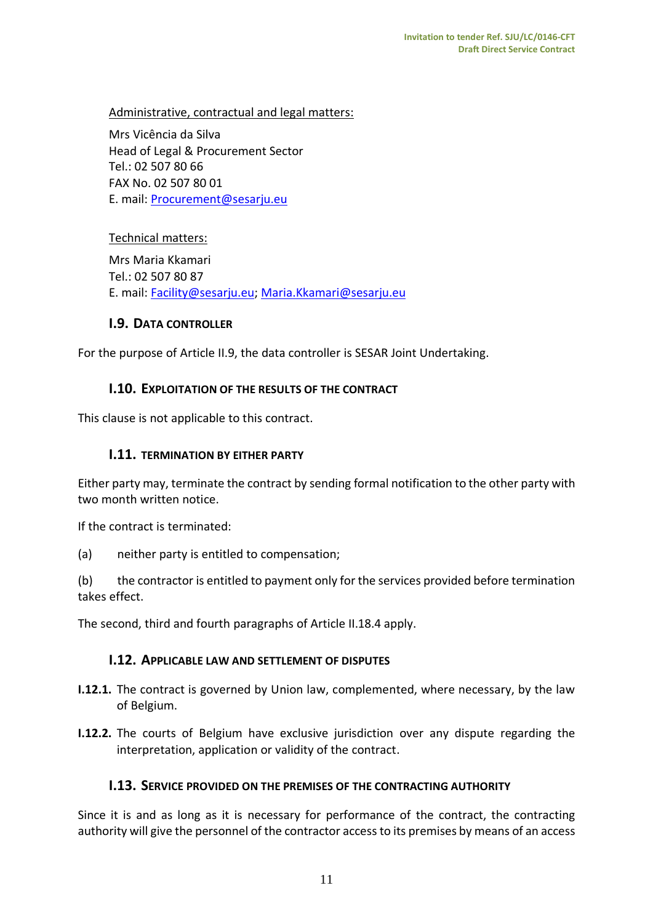Administrative, contractual and legal matters:

Mrs Vicência da Silva Head of Legal & Procurement Sector Tel.: 02 507 80 66 FAX No. 02 507 80 01 E. mail: Procurement@sesarju.eu

Technical matters:

Mrs Maria Kkamari Tel.: 02 507 80 87 E. mail: Facility@sesarju.eu; Maria.Kkamari@sesarju.eu

#### **I.9. DATA CONTROLLER**

For the purpose of Article II.9, the data controller is SESAR Joint Undertaking.

## **I.10. EXPLOITATION OF THE RESULTS OF THE CONTRACT**

This clause is not applicable to this contract.

#### **I.11. TERMINATION BY EITHER PARTY**

Either party may, terminate the contract by sending formal notification to the other party with two month written notice.

If the contract is terminated:

(a) neither party is entitled to compensation;

(b) the contractor is entitled to payment only for the services provided before termination takes effect.

The second, third and fourth paragraphs of Article II.18.4 apply.

#### **I.12. APPLICABLE LAW AND SETTLEMENT OF DISPUTES**

- **I.12.1.** The contract is governed by Union law, complemented, where necessary, by the law of Belgium.
- **I.12.2.** The courts of Belgium have exclusive jurisdiction over any dispute regarding the interpretation, application or validity of the contract.

#### **I.13. SERVICE PROVIDED ON THE PREMISES OF THE CONTRACTING AUTHORITY**

Since it is and as long as it is necessary for performance of the contract, the contracting authority will give the personnel of the contractor access to its premises by means of an access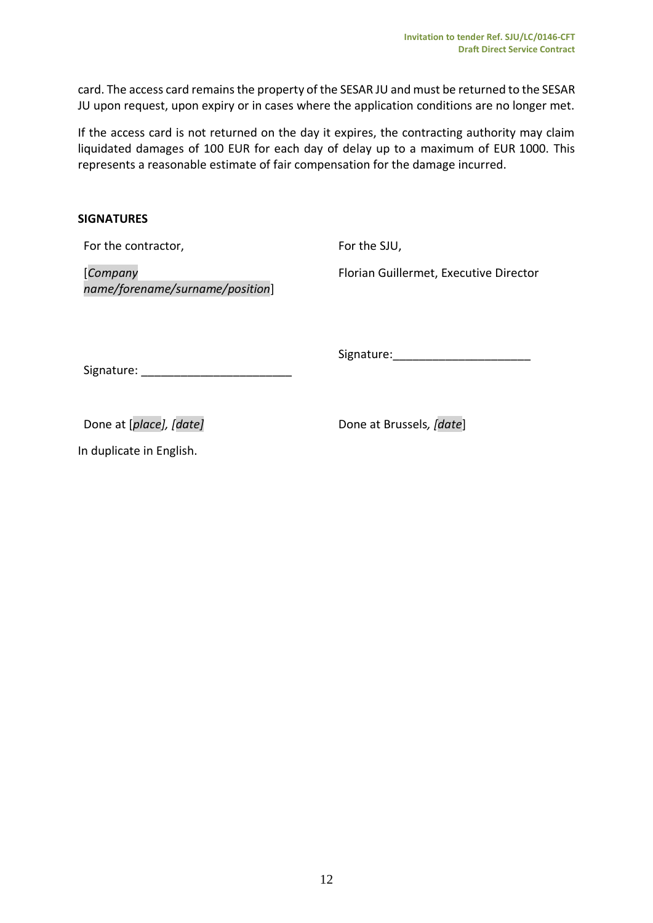card. The access card remains the property of the SESAR JU and must be returned to the SESAR JU upon request, upon expiry or in cases where the application conditions are no longer met.

If the access card is not returned on the day it expires, the contracting authority may claim liquidated damages of 100 EUR for each day of delay up to a maximum of EUR 1000. This represents a reasonable estimate of fair compensation for the damage incurred.

#### **SIGNATURES**

For the contractor,

For the SJU,

[*Company name/forename/surname/position*] Florian Guillermet, Executive Director

Signature: \_\_\_\_\_\_\_\_\_\_\_\_\_\_\_\_\_\_\_\_\_\_\_ Signature:

Done at [*place],* [date] Done at Brussels, [date]

In duplicate in English.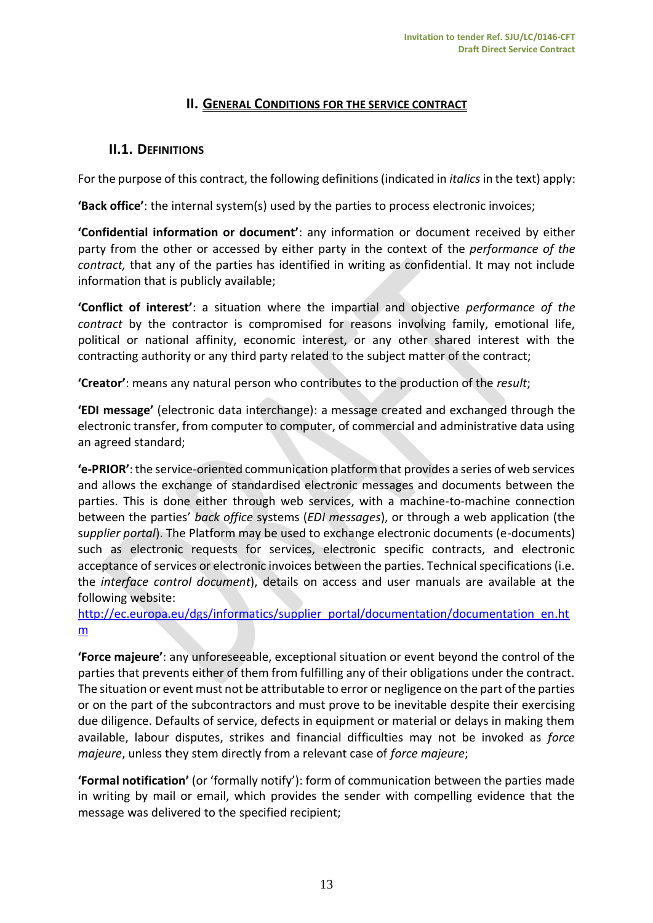## **II. GENERAL CONDITIONS FOR THE SERVICE CONTRACT**

## **II.1. DEFINITIONS**

For the purpose of this contract, the following definitions (indicated in *italics* in the text) apply:

**'Back office'**: the internal system(s) used by the parties to process electronic invoices;

**'Confidential information or document'**: any information or document received by either party from the other or accessed by either party in the context of the *performance of the contract,* that any of the parties has identified in writing as confidential. It may not include information that is publicly available;

**'Conflict of interest'**: a situation where the impartial and objective *performance of the contract* by the contractor is compromised for reasons involving family, emotional life, political or national affinity, economic interest, or any other shared interest with the contracting authority or any third party related to the subject matter of the contract;

**'Creator'**: means any natural person who contributes to the production of the *result*;

**'EDI message'** (electronic data interchange): a message created and exchanged through the electronic transfer, from computer to computer, of commercial and administrative data using an agreed standard;

**'e-PRIOR'**: the service-oriented communication platform that provides a series of web services and allows the exchange of standardised electronic messages and documents between the parties. This is done either through web services, with a machine-to-machine connection between the parties' *back office* systems (*EDI messages*), or through a web application (the s*upplier portal*). The Platform may be used to exchange electronic documents (e-documents) such as electronic requests for services, electronic specific contracts, and electronic acceptance of services or electronic invoices between the parties. Technical specifications (i.e. the *interface control document*), details on access and user manuals are available at the following website:

http://ec.europa.eu/dgs/informatics/supplier\_portal/documentation/documentation\_en.ht m

**'Force majeure'**: any unforeseeable, exceptional situation or event beyond the control of the parties that prevents either of them from fulfilling any of their obligations under the contract. The situation or event must not be attributable to error or negligence on the part of the parties or on the part of the subcontractors and must prove to be inevitable despite their exercising due diligence. Defaults of service, defects in equipment or material or delays in making them available, labour disputes, strikes and financial difficulties may not be invoked as *force majeure*, unless they stem directly from a relevant case of *force majeure*;

**'Formal notification'** (or 'formally notify'): form of communication between the parties made in writing by mail or email, which provides the sender with compelling evidence that the message was delivered to the specified recipient;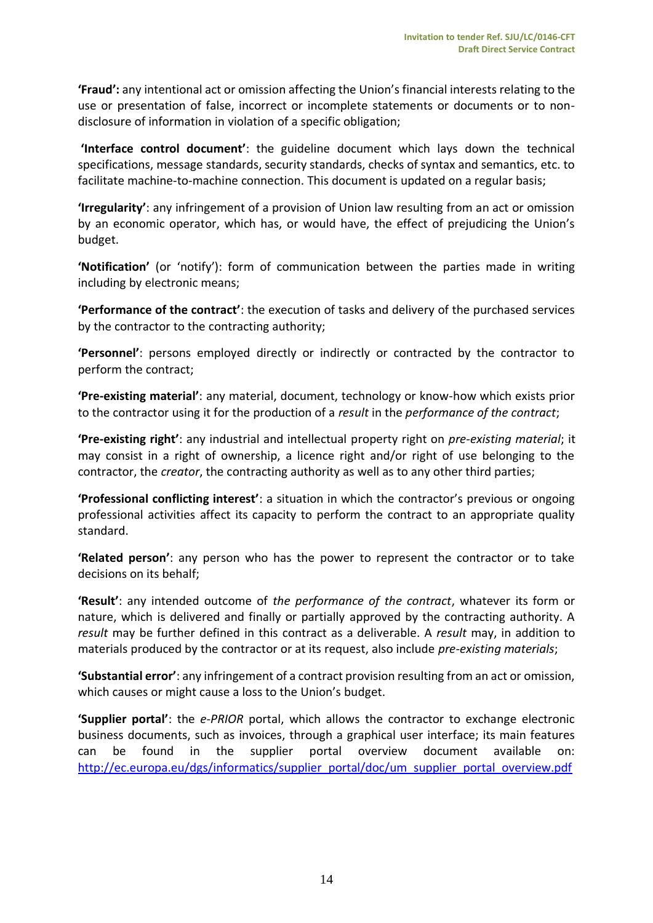**'Fraud':** any intentional act or omission affecting the Union's financial interests relating to the use or presentation of false, incorrect or incomplete statements or documents or to nondisclosure of information in violation of a specific obligation;

**'Interface control document'**: the guideline document which lays down the technical specifications, message standards, security standards, checks of syntax and semantics, etc. to facilitate machine-to-machine connection. This document is updated on a regular basis;

**'Irregularity'**: any infringement of a provision of Union law resulting from an act or omission by an economic operator, which has, or would have, the effect of prejudicing the Union's budget.

**'Notification'** (or 'notify'): form of communication between the parties made in writing including by electronic means;

**'Performance of the contract'**: the execution of tasks and delivery of the purchased services by the contractor to the contracting authority;

**'Personnel'**: persons employed directly or indirectly or contracted by the contractor to perform the contract;

**'Pre-existing material'**: any material, document, technology or know-how which exists prior to the contractor using it for the production of a *result* in the *performance of the contract*;

**'Pre-existing right'**: any industrial and intellectual property right on *pre-existing material*; it may consist in a right of ownership, a licence right and/or right of use belonging to the contractor, the *creator*, the contracting authority as well as to any other third parties;

**'Professional conflicting interest'**: a situation in which the contractor's previous or ongoing professional activities affect its capacity to perform the contract to an appropriate quality standard.

**'Related person'**: any person who has the power to represent the contractor or to take decisions on its behalf;

**'Result'**: any intended outcome of *the performance of the contract*, whatever its form or nature, which is delivered and finally or partially approved by the contracting authority. A *result* may be further defined in this contract as a deliverable. A *result* may, in addition to materials produced by the contractor or at its request, also include *pre-existing materials*;

**'Substantial error'**: any infringement of a contract provision resulting from an act or omission, which causes or might cause a loss to the Union's budget.

**'Supplier portal'**: the *e-PRIOR* portal, which allows the contractor to exchange electronic business documents, such as invoices, through a graphical user interface; its main features can be found in the supplier portal overview document available on: http://ec.europa.eu/dgs/informatics/supplier\_portal/doc/um\_supplier\_portal\_overview.pdf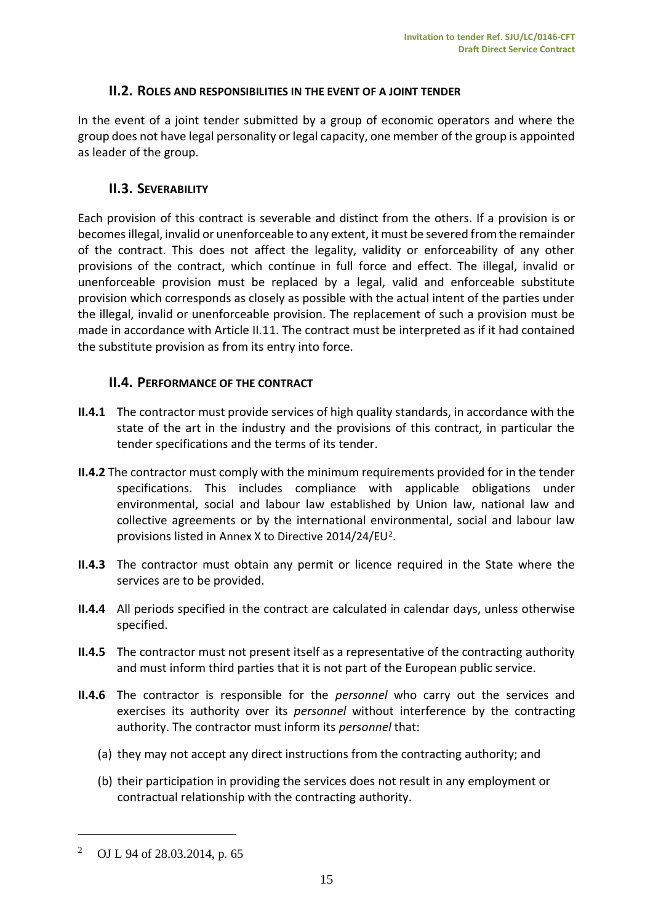## **II.2. ROLES AND RESPONSIBILITIES IN THE EVENT OF A JOINT TENDER**

In the event of a joint tender submitted by a group of economic operators and where the group does not have legal personality or legal capacity, one member of the group is appointed as leader of the group.

## **II.3. SEVERABILITY**

Each provision of this contract is severable and distinct from the others. If a provision is or becomes illegal, invalid or unenforceable to any extent, it must be severed from the remainder of the contract. This does not affect the legality, validity or enforceability of any other provisions of the contract, which continue in full force and effect. The illegal, invalid or unenforceable provision must be replaced by a legal, valid and enforceable substitute provision which corresponds as closely as possible with the actual intent of the parties under the illegal, invalid or unenforceable provision. The replacement of such a provision must be made in accordance with Article II.11. The contract must be interpreted as if it had contained the substitute provision as from its entry into force.

## **II.4. PERFORMANCE OF THE CONTRACT**

- **II.4.1** The contractor must provide services of high quality standards, in accordance with the state of the art in the industry and the provisions of this contract, in particular the tender specifications and the terms of its tender.
- **II.4.2** The contractor must comply with the minimum requirements provided for in the tender specifications. This includes compliance with applicable obligations under environmental, social and labour law established by Union law, national law and collective agreements or by the international environmental, social and labour law provisions listed in Annex X to Directive 2014/24/EU<sup>2</sup>.
- **II.4.3** The contractor must obtain any permit or licence required in the State where the services are to be provided.
- **II.4.4** All periods specified in the contract are calculated in calendar days, unless otherwise specified.
- **II.4.5** The contractor must not present itself as a representative of the contracting authority and must inform third parties that it is not part of the European public service.
- **II.4.6** The contractor is responsible for the *personnel* who carry out the services and exercises its authority over its *personnel* without interference by the contracting authority. The contractor must inform its *personnel* that:
	- (a) they may not accept any direct instructions from the contracting authority; and
	- (b) their participation in providing the services does not result in any employment or contractual relationship with the contracting authority.

 $\overline{a}$ 

<sup>2</sup> OJ L 94 of 28.03.2014, p. 65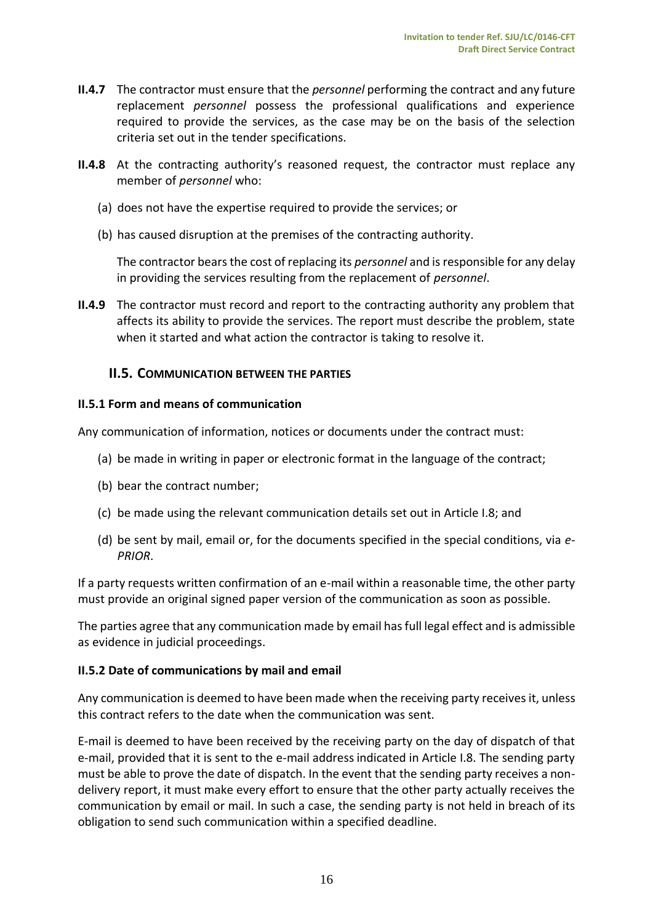- **II.4.7** The contractor must ensure that the *personnel* performing the contract and any future replacement *personnel* possess the professional qualifications and experience required to provide the services, as the case may be on the basis of the selection criteria set out in the tender specifications.
- **II.4.8** At the contracting authority's reasoned request, the contractor must replace any member of *personnel* who:
	- (a) does not have the expertise required to provide the services; or
	- (b) has caused disruption at the premises of the contracting authority.

The contractor bears the cost of replacing its *personnel* and is responsible for any delay in providing the services resulting from the replacement of *personnel*.

**II.4.9** The contractor must record and report to the contracting authority any problem that affects its ability to provide the services. The report must describe the problem, state when it started and what action the contractor is taking to resolve it.

## **II.5. COMMUNICATION BETWEEN THE PARTIES**

#### **II.5.1 Form and means of communication**

Any communication of information, notices or documents under the contract must:

- (a) be made in writing in paper or electronic format in the language of the contract;
- (b) bear the contract number;
- (c) be made using the relevant communication details set out in Article I.8; and
- (d) be sent by mail, email or, for the documents specified in the special conditions, via *e-PRIOR*.

If a party requests written confirmation of an e-mail within a reasonable time, the other party must provide an original signed paper version of the communication as soon as possible.

The parties agree that any communication made by email has full legal effect and is admissible as evidence in judicial proceedings.

## **II.5.2 Date of communications by mail and email**

Any communication is deemed to have been made when the receiving party receives it, unless this contract refers to the date when the communication was sent.

E-mail is deemed to have been received by the receiving party on the day of dispatch of that e-mail, provided that it is sent to the e-mail address indicated in Article I.8. The sending party must be able to prove the date of dispatch. In the event that the sending party receives a nondelivery report, it must make every effort to ensure that the other party actually receives the communication by email or mail. In such a case, the sending party is not held in breach of its obligation to send such communication within a specified deadline.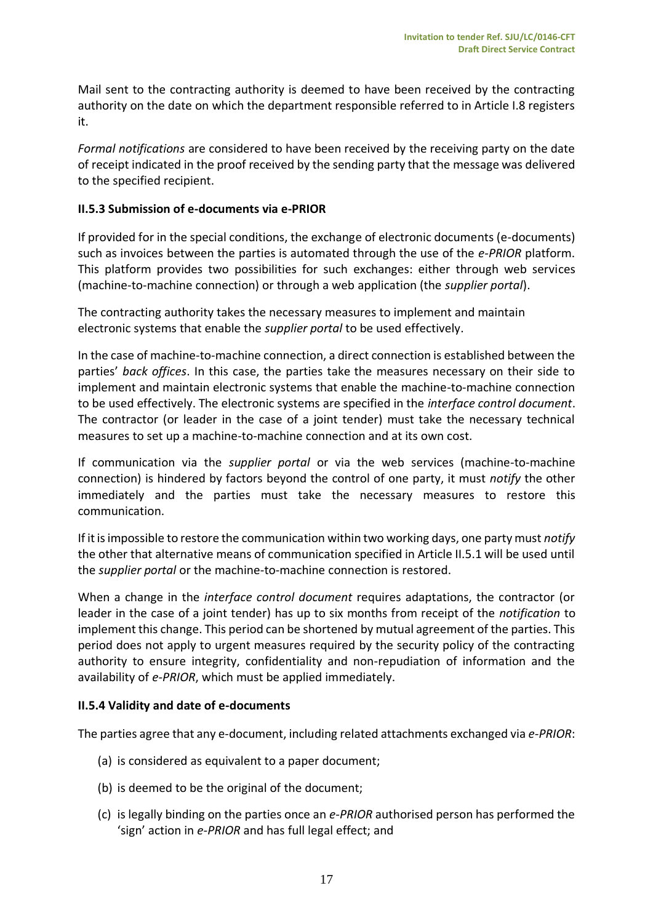Mail sent to the contracting authority is deemed to have been received by the contracting authority on the date on which the department responsible referred to in Article I.8 registers it.

*Formal notifications* are considered to have been received by the receiving party on the date of receipt indicated in the proof received by the sending party that the message was delivered to the specified recipient.

## **II.5.3 Submission of e-documents via e-PRIOR**

If provided for in the special conditions, the exchange of electronic documents (e-documents) such as invoices between the parties is automated through the use of the *e-PRIOR* platform. This platform provides two possibilities for such exchanges: either through web services (machine-to-machine connection) or through a web application (the *supplier portal*).

The contracting authority takes the necessary measures to implement and maintain electronic systems that enable the *supplier portal* to be used effectively.

In the case of machine-to-machine connection, a direct connection is established between the parties' *back offices*. In this case, the parties take the measures necessary on their side to implement and maintain electronic systems that enable the machine-to-machine connection to be used effectively. The electronic systems are specified in the *interface control document*. The contractor (or leader in the case of a joint tender) must take the necessary technical measures to set up a machine-to-machine connection and at its own cost.

If communication via the *supplier portal* or via the web services (machine-to-machine connection) is hindered by factors beyond the control of one party, it must *notify* the other immediately and the parties must take the necessary measures to restore this communication.

If it is impossible to restore the communication within two working days, one party must *notify* the other that alternative means of communication specified in Article II.5.1 will be used until the *supplier portal* or the machine-to-machine connection is restored.

When a change in the *interface control document* requires adaptations, the contractor (or leader in the case of a joint tender) has up to six months from receipt of the *notification* to implement this change. This period can be shortened by mutual agreement of the parties. This period does not apply to urgent measures required by the security policy of the contracting authority to ensure integrity, confidentiality and non-repudiation of information and the availability of *e-PRIOR*, which must be applied immediately.

## **II.5.4 Validity and date of e-documents**

The parties agree that any e-document, including related attachments exchanged via *e-PRIOR*:

- (a) is considered as equivalent to a paper document;
- (b) is deemed to be the original of the document;
- (c) is legally binding on the parties once an *e-PRIOR* authorised person has performed the 'sign' action in *e-PRIOR* and has full legal effect; and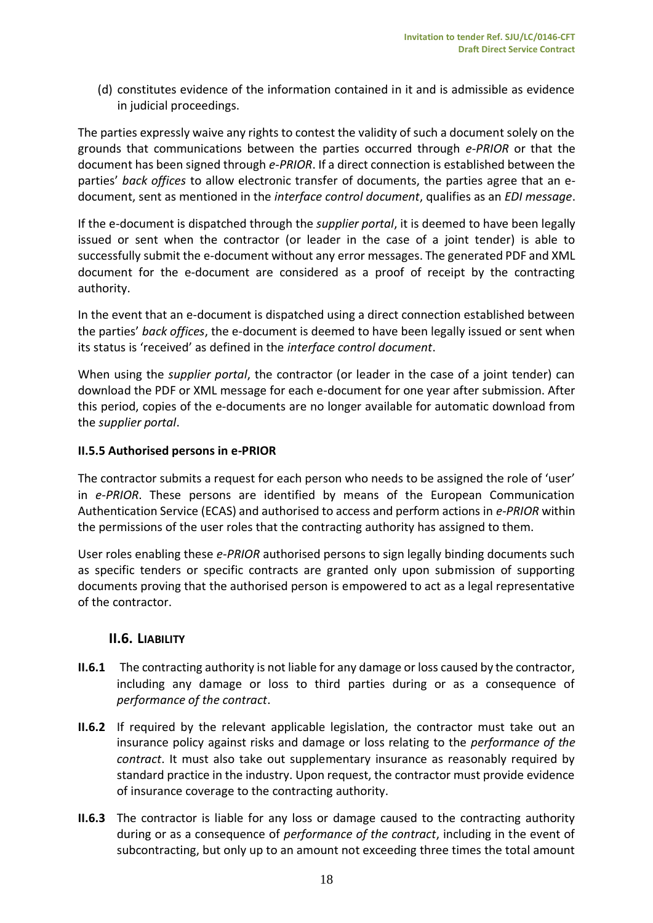(d) constitutes evidence of the information contained in it and is admissible as evidence in judicial proceedings.

The parties expressly waive any rights to contest the validity of such a document solely on the grounds that communications between the parties occurred through *e-PRIOR* or that the document has been signed through *e-PRIOR*. If a direct connection is established between the parties' *back offices* to allow electronic transfer of documents, the parties agree that an edocument, sent as mentioned in the *interface control document*, qualifies as an *EDI message*.

If the e-document is dispatched through the *supplier portal*, it is deemed to have been legally issued or sent when the contractor (or leader in the case of a joint tender) is able to successfully submit the e-document without any error messages. The generated PDF and XML document for the e-document are considered as a proof of receipt by the contracting authority.

In the event that an e-document is dispatched using a direct connection established between the parties' *back offices*, the e-document is deemed to have been legally issued or sent when its status is 'received' as defined in the *interface control document*.

When using the *supplier portal*, the contractor (or leader in the case of a joint tender) can download the PDF or XML message for each e-document for one year after submission. After this period, copies of the e-documents are no longer available for automatic download from the *supplier portal*.

## **II.5.5 Authorised persons in e-PRIOR**

The contractor submits a request for each person who needs to be assigned the role of 'user' in *e-PRIOR*. These persons are identified by means of the European Communication Authentication Service (ECAS) and authorised to access and perform actions in *e-PRIOR* within the permissions of the user roles that the contracting authority has assigned to them.

User roles enabling these *e-PRIOR* authorised persons to sign legally binding documents such as specific tenders or specific contracts are granted only upon submission of supporting documents proving that the authorised person is empowered to act as a legal representative of the contractor.

## **II.6. LIABILITY**

- **II.6.1** The contracting authority is not liable for any damage or loss caused by the contractor, including any damage or loss to third parties during or as a consequence of *performance of the contract*.
- **II.6.2** If required by the relevant applicable legislation, the contractor must take out an insurance policy against risks and damage or loss relating to the *performance of the contract*. It must also take out supplementary insurance as reasonably required by standard practice in the industry. Upon request, the contractor must provide evidence of insurance coverage to the contracting authority.
- **II.6.3** The contractor is liable for any loss or damage caused to the contracting authority during or as a consequence of *performance of the contract*, including in the event of subcontracting, but only up to an amount not exceeding three times the total amount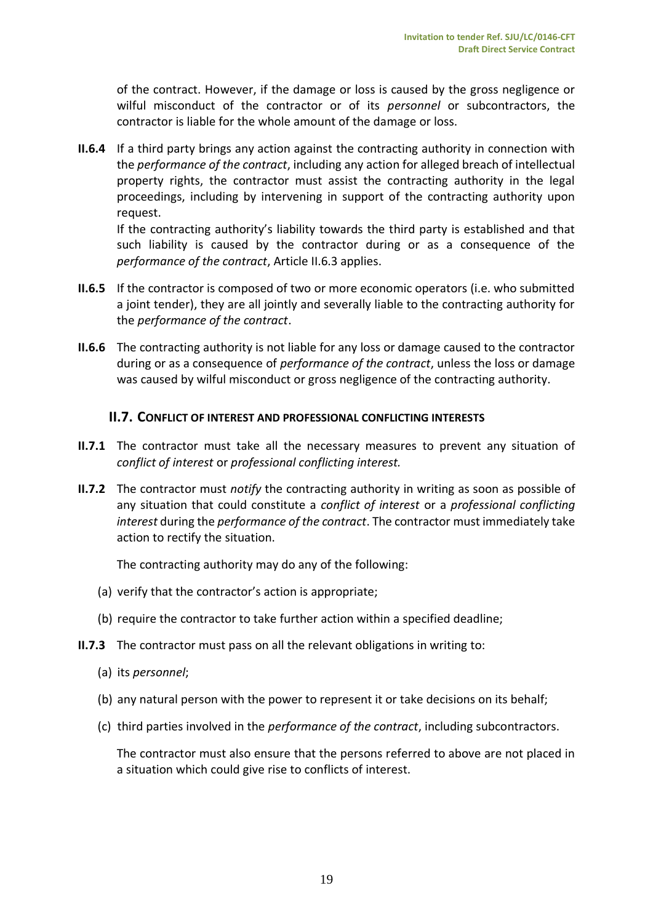of the contract. However, if the damage or loss is caused by the gross negligence or wilful misconduct of the contractor or of its *personnel* or subcontractors, the contractor is liable for the whole amount of the damage or loss.

**II.6.4** If a third party brings any action against the contracting authority in connection with the *performance of the contract*, including any action for alleged breach of intellectual property rights, the contractor must assist the contracting authority in the legal proceedings, including by intervening in support of the contracting authority upon request.

If the contracting authority's liability towards the third party is established and that such liability is caused by the contractor during or as a consequence of the *performance of the contract*, Article II.6.3 applies.

- **II.6.5** If the contractor is composed of two or more economic operators (i.e. who submitted a joint tender), they are all jointly and severally liable to the contracting authority for the *performance of the contract*.
- **II.6.6** The contracting authority is not liable for any loss or damage caused to the contractor during or as a consequence of *performance of the contract*, unless the loss or damage was caused by wilful misconduct or gross negligence of the contracting authority.

## **II.7. CONFLICT OF INTEREST AND PROFESSIONAL CONFLICTING INTERESTS**

- **II.7.1** The contractor must take all the necessary measures to prevent any situation of *conflict of interest* or *professional conflicting interest.*
- **II.7.2** The contractor must *notify* the contracting authority in writing as soon as possible of any situation that could constitute a *conflict of interest* or a *professional conflicting interest* during the *performance of the contract*. The contractor must immediately take action to rectify the situation.

The contracting authority may do any of the following:

- (a) verify that the contractor's action is appropriate;
- (b) require the contractor to take further action within a specified deadline;
- **II.7.3** The contractor must pass on all the relevant obligations in writing to:
	- (a) its *personnel*;
	- (b) any natural person with the power to represent it or take decisions on its behalf;
	- (c) third parties involved in the *performance of the contract*, including subcontractors.

The contractor must also ensure that the persons referred to above are not placed in a situation which could give rise to conflicts of interest.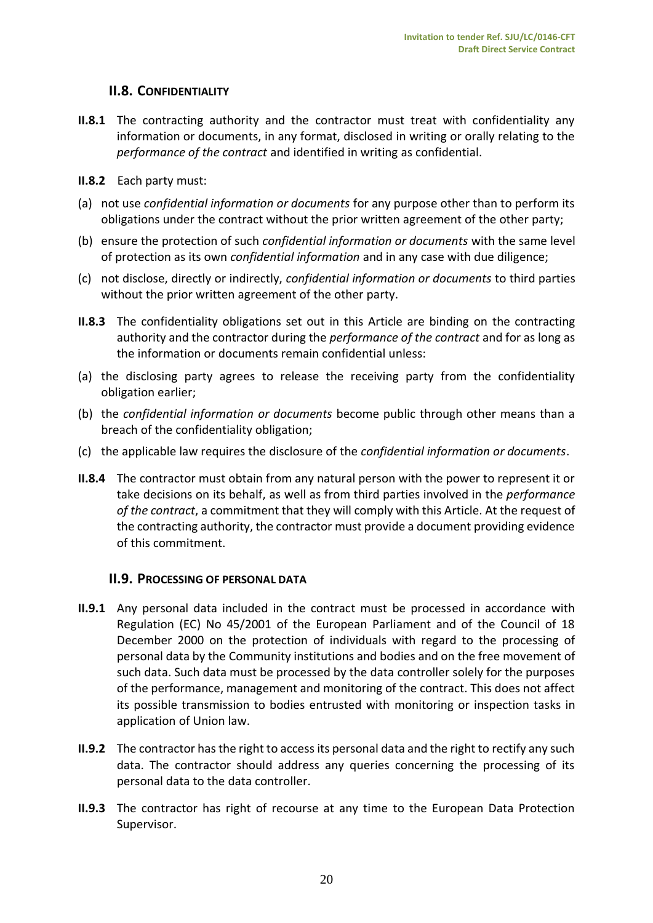## **II.8. CONFIDENTIALITY**

- **II.8.1** The contracting authority and the contractor must treat with confidentiality any information or documents, in any format, disclosed in writing or orally relating to the *performance of the contract* and identified in writing as confidential.
- **II.8.2** Each party must:
- (a) not use *confidential information or documents* for any purpose other than to perform its obligations under the contract without the prior written agreement of the other party;
- (b) ensure the protection of such *confidential information or documents* with the same level of protection as its own *confidential information* and in any case with due diligence;
- (c) not disclose, directly or indirectly, *confidential information or documents* to third parties without the prior written agreement of the other party.
- **II.8.3** The confidentiality obligations set out in this Article are binding on the contracting authority and the contractor during the *performance of the contract* and for as long as the information or documents remain confidential unless:
- (a) the disclosing party agrees to release the receiving party from the confidentiality obligation earlier;
- (b) the *confidential information or documents* become public through other means than a breach of the confidentiality obligation;
- (c) the applicable law requires the disclosure of the *confidential information or documents*.
- **II.8.4** The contractor must obtain from any natural person with the power to represent it or take decisions on its behalf, as well as from third parties involved in the *performance of the contract*, a commitment that they will comply with this Article. At the request of the contracting authority, the contractor must provide a document providing evidence of this commitment.

#### **II.9. PROCESSING OF PERSONAL DATA**

- **II.9.1** Any personal data included in the contract must be processed in accordance with Regulation (EC) No 45/2001 of the European Parliament and of the Council of 18 December 2000 on the protection of individuals with regard to the processing of personal data by the Community institutions and bodies and on the free movement of such data. Such data must be processed by the data controller solely for the purposes of the performance, management and monitoring of the contract. This does not affect its possible transmission to bodies entrusted with monitoring or inspection tasks in application of Union law.
- **II.9.2** The contractor has the right to access its personal data and the right to rectify any such data. The contractor should address any queries concerning the processing of its personal data to the data controller.
- **II.9.3** The contractor has right of recourse at any time to the European Data Protection Supervisor.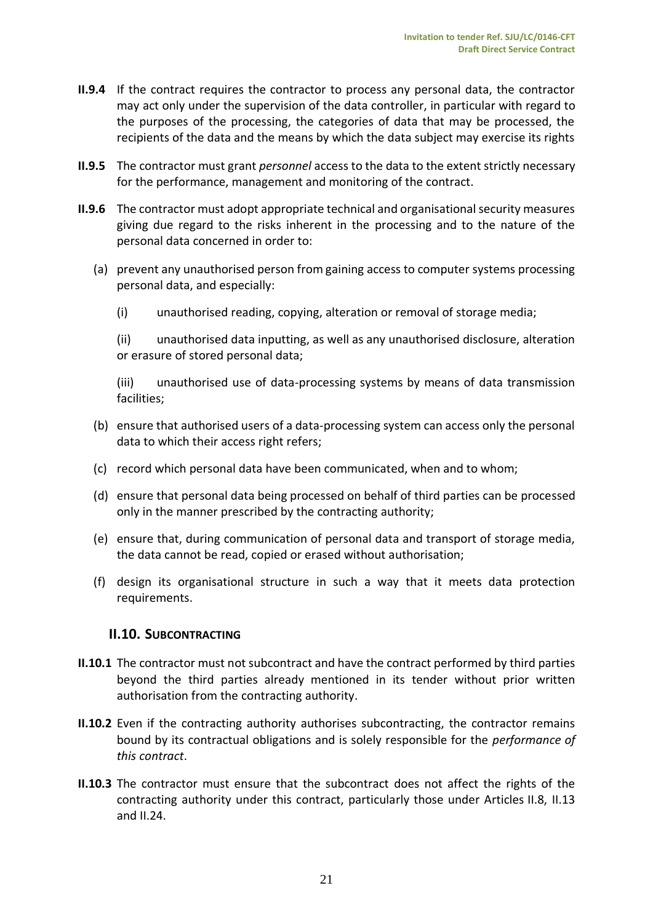- **II.9.4** If the contract requires the contractor to process any personal data, the contractor may act only under the supervision of the data controller, in particular with regard to the purposes of the processing, the categories of data that may be processed, the recipients of the data and the means by which the data subject may exercise its rights
- **II.9.5** The contractor must grant *personnel* access to the data to the extent strictly necessary for the performance, management and monitoring of the contract.
- **II.9.6** The contractor must adopt appropriate technical and organisational security measures giving due regard to the risks inherent in the processing and to the nature of the personal data concerned in order to:
	- (a) prevent any unauthorised person from gaining access to computer systems processing personal data, and especially:
		- (i) unauthorised reading, copying, alteration or removal of storage media;

(ii) unauthorised data inputting, as well as any unauthorised disclosure, alteration or erasure of stored personal data;

(iii) unauthorised use of data-processing systems by means of data transmission facilities;

- (b) ensure that authorised users of a data-processing system can access only the personal data to which their access right refers;
- (c) record which personal data have been communicated, when and to whom;
- (d) ensure that personal data being processed on behalf of third parties can be processed only in the manner prescribed by the contracting authority;
- (e) ensure that, during communication of personal data and transport of storage media, the data cannot be read, copied or erased without authorisation;
- (f) design its organisational structure in such a way that it meets data protection requirements.

#### **II.10. SUBCONTRACTING**

- **II.10.1** The contractor must not subcontract and have the contract performed by third parties beyond the third parties already mentioned in its tender without prior written authorisation from the contracting authority.
- **II.10.2** Even if the contracting authority authorises subcontracting, the contractor remains bound by its contractual obligations and is solely responsible for the *performance of this contract*.
- **II.10.3** The contractor must ensure that the subcontract does not affect the rights of the contracting authority under this contract, particularly those under Articles II.8, II.13 and II.24.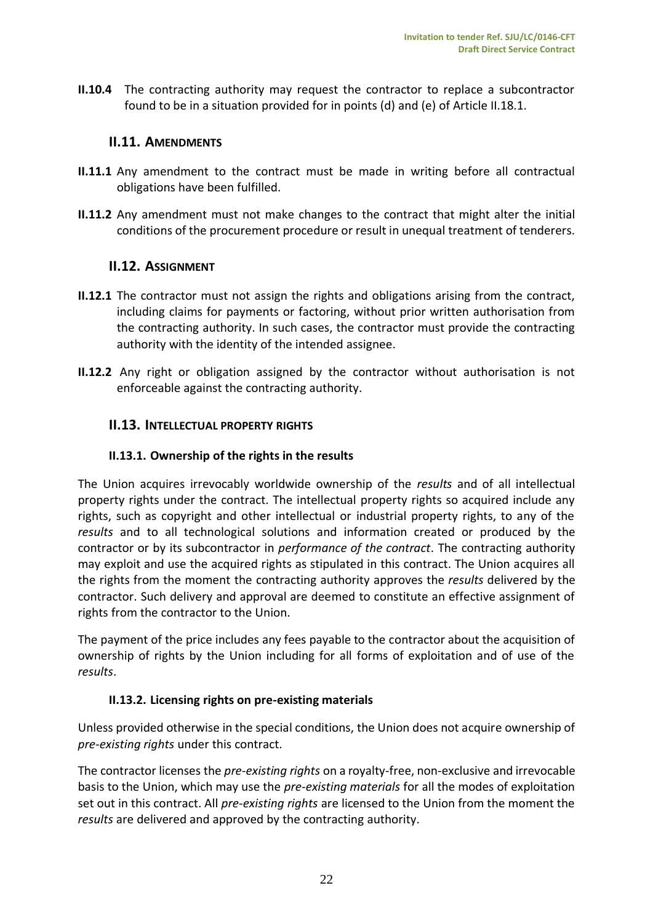**II.10.4** The contracting authority may request the contractor to replace a subcontractor found to be in a situation provided for in points (d) and (e) of Article II.18.1.

## **II.11. AMENDMENTS**

- **II.11.1** Any amendment to the contract must be made in writing before all contractual obligations have been fulfilled.
- **II.11.2** Any amendment must not make changes to the contract that might alter the initial conditions of the procurement procedure or result in unequal treatment of tenderers.

## **II.12. ASSIGNMENT**

- **II.12.1** The contractor must not assign the rights and obligations arising from the contract, including claims for payments or factoring, without prior written authorisation from the contracting authority. In such cases, the contractor must provide the contracting authority with the identity of the intended assignee.
- **II.12.2** Any right or obligation assigned by the contractor without authorisation is not enforceable against the contracting authority.

## **II.13. INTELLECTUAL PROPERTY RIGHTS**

## **II.13.1. Ownership of the rights in the results**

The Union acquires irrevocably worldwide ownership of the *results* and of all intellectual property rights under the contract. The intellectual property rights so acquired include any rights, such as copyright and other intellectual or industrial property rights, to any of the *results* and to all technological solutions and information created or produced by the contractor or by its subcontractor in *performance of the contract*. The contracting authority may exploit and use the acquired rights as stipulated in this contract. The Union acquires all the rights from the moment the contracting authority approves the *results* delivered by the contractor. Such delivery and approval are deemed to constitute an effective assignment of rights from the contractor to the Union.

The payment of the price includes any fees payable to the contractor about the acquisition of ownership of rights by the Union including for all forms of exploitation and of use of the *results*.

## **II.13.2. Licensing rights on pre-existing materials**

Unless provided otherwise in the special conditions, the Union does not acquire ownership of *pre-existing rights* under this contract.

The contractor licenses the *pre-existing rights* on a royalty-free, non-exclusive and irrevocable basis to the Union, which may use the *pre-existing materials* for all the modes of exploitation set out in this contract. All *pre-existing rights* are licensed to the Union from the moment the *results* are delivered and approved by the contracting authority.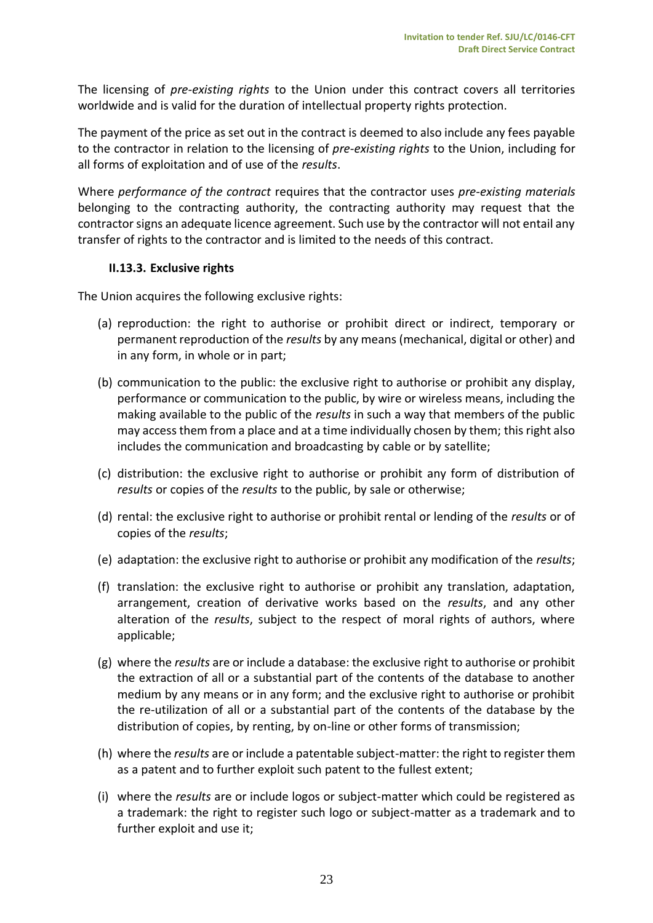The licensing of *pre-existing rights* to the Union under this contract covers all territories worldwide and is valid for the duration of intellectual property rights protection.

The payment of the price as set out in the contract is deemed to also include any fees payable to the contractor in relation to the licensing of *pre-existing rights* to the Union, including for all forms of exploitation and of use of the *results*.

Where *performance of the contract* requires that the contractor uses *pre-existing materials* belonging to the contracting authority, the contracting authority may request that the contractor signs an adequate licence agreement. Such use by the contractor will not entail any transfer of rights to the contractor and is limited to the needs of this contract.

#### **II.13.3. Exclusive rights**

The Union acquires the following exclusive rights:

- (a) reproduction: the right to authorise or prohibit direct or indirect, temporary or permanent reproduction of the *results* by any means (mechanical, digital or other) and in any form, in whole or in part;
- (b) communication to the public: the exclusive right to authorise or prohibit any display, performance or communication to the public, by wire or wireless means, including the making available to the public of the *results* in such a way that members of the public may access them from a place and at a time individually chosen by them; this right also includes the communication and broadcasting by cable or by satellite;
- (c) distribution: the exclusive right to authorise or prohibit any form of distribution of *results* or copies of the *results* to the public, by sale or otherwise;
- (d) rental: the exclusive right to authorise or prohibit rental or lending of the *results* or of copies of the *results*;
- (e) adaptation: the exclusive right to authorise or prohibit any modification of the *results*;
- (f) translation: the exclusive right to authorise or prohibit any translation, adaptation, arrangement, creation of derivative works based on the *results*, and any other alteration of the *results*, subject to the respect of moral rights of authors, where applicable;
- (g) where the *results* are or include a database: the exclusive right to authorise or prohibit the extraction of all or a substantial part of the contents of the database to another medium by any means or in any form; and the exclusive right to authorise or prohibit the re-utilization of all or a substantial part of the contents of the database by the distribution of copies, by renting, by on-line or other forms of transmission;
- (h) where the *results* are or include a patentable subject-matter: the right to register them as a patent and to further exploit such patent to the fullest extent;
- (i) where the *results* are or include logos or subject-matter which could be registered as a trademark: the right to register such logo or subject-matter as a trademark and to further exploit and use it;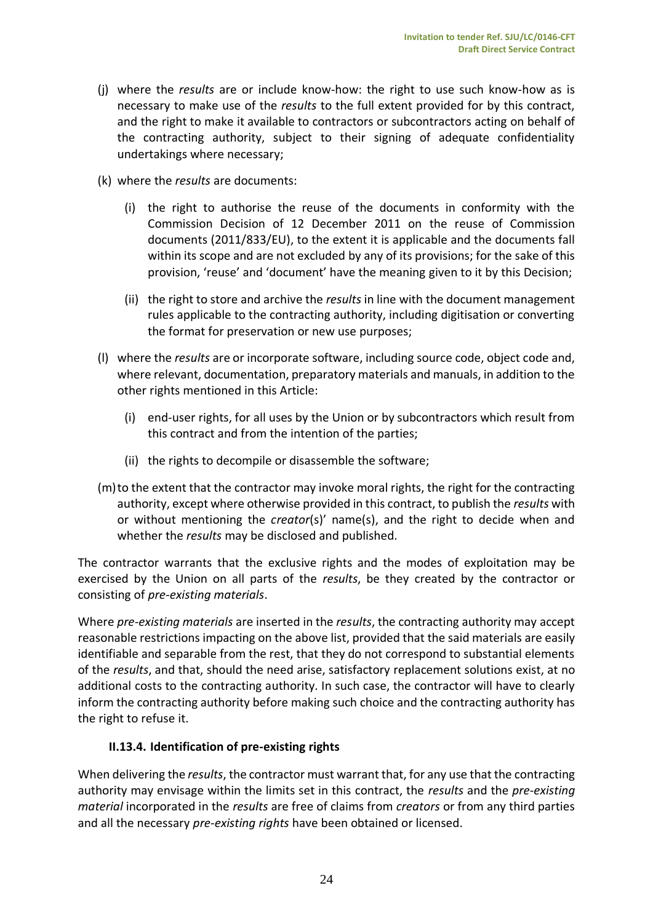- (j) where the *results* are or include know-how: the right to use such know-how as is necessary to make use of the *results* to the full extent provided for by this contract, and the right to make it available to contractors or subcontractors acting on behalf of the contracting authority, subject to their signing of adequate confidentiality undertakings where necessary;
- (k) where the *results* are documents:
	- (i) the right to authorise the reuse of the documents in conformity with the Commission Decision of 12 December 2011 on the reuse of Commission documents (2011/833/EU), to the extent it is applicable and the documents fall within its scope and are not excluded by any of its provisions; for the sake of this provision, 'reuse' and 'document' have the meaning given to it by this Decision;
	- (ii) the right to store and archive the *results* in line with the document management rules applicable to the contracting authority, including digitisation or converting the format for preservation or new use purposes;
- (l) where the *results* are or incorporate software, including source code, object code and, where relevant, documentation, preparatory materials and manuals, in addition to the other rights mentioned in this Article:
	- (i) end-user rights, for all uses by the Union or by subcontractors which result from this contract and from the intention of the parties;
	- (ii) the rights to decompile or disassemble the software;
- (m)to the extent that the contractor may invoke moral rights, the right for the contracting authority, except where otherwise provided in this contract, to publish the *results* with or without mentioning the *creator*(s)' name(s), and the right to decide when and whether the *results* may be disclosed and published.

The contractor warrants that the exclusive rights and the modes of exploitation may be exercised by the Union on all parts of the *results*, be they created by the contractor or consisting of *pre-existing materials*.

Where *pre-existing materials* are inserted in the *results*, the contracting authority may accept reasonable restrictions impacting on the above list, provided that the said materials are easily identifiable and separable from the rest, that they do not correspond to substantial elements of the *results*, and that, should the need arise, satisfactory replacement solutions exist, at no additional costs to the contracting authority. In such case, the contractor will have to clearly inform the contracting authority before making such choice and the contracting authority has the right to refuse it.

## **II.13.4. Identification of pre-existing rights**

When delivering the *results*, the contractor must warrant that, for any use that the contracting authority may envisage within the limits set in this contract, the *results* and the *pre-existing material* incorporated in the *results* are free of claims from *creators* or from any third parties and all the necessary *pre-existing rights* have been obtained or licensed.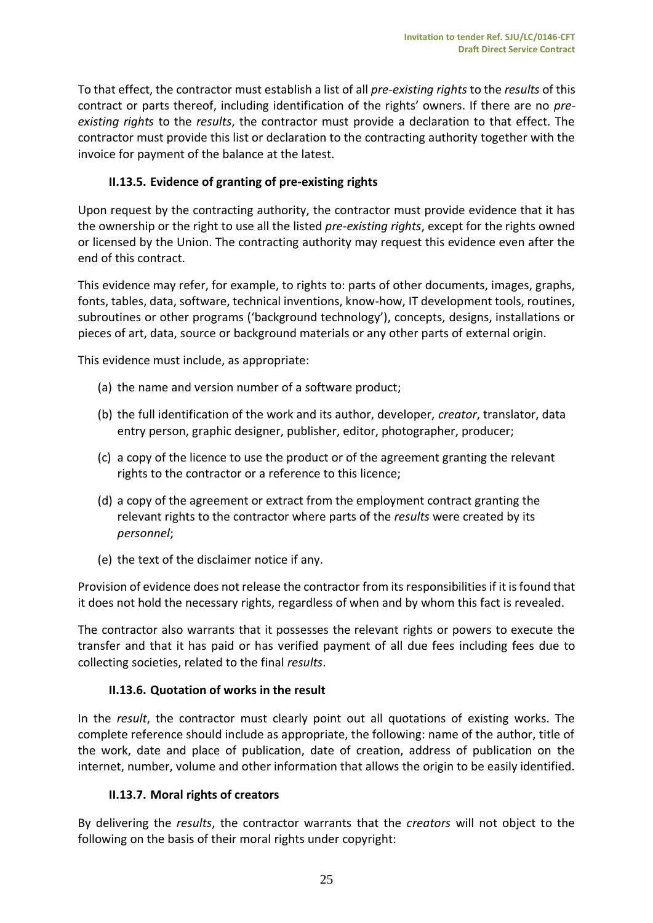To that effect, the contractor must establish a list of all *pre-existing rights* to the *results* of this contract or parts thereof, including identification of the rights' owners. If there are no *preexisting rights* to the *results*, the contractor must provide a declaration to that effect. The contractor must provide this list or declaration to the contracting authority together with the invoice for payment of the balance at the latest.

## **II.13.5. Evidence of granting of pre-existing rights**

Upon request by the contracting authority, the contractor must provide evidence that it has the ownership or the right to use all the listed *pre-existing rights*, except for the rights owned or licensed by the Union. The contracting authority may request this evidence even after the end of this contract.

This evidence may refer, for example, to rights to: parts of other documents, images, graphs, fonts, tables, data, software, technical inventions, know-how, IT development tools, routines, subroutines or other programs ('background technology'), concepts, designs, installations or pieces of art, data, source or background materials or any other parts of external origin.

This evidence must include, as appropriate:

- (a) the name and version number of a software product;
- (b) the full identification of the work and its author, developer, *creator*, translator, data entry person, graphic designer, publisher, editor, photographer, producer;
- (c) a copy of the licence to use the product or of the agreement granting the relevant rights to the contractor or a reference to this licence;
- (d) a copy of the agreement or extract from the employment contract granting the relevant rights to the contractor where parts of the *results* were created by its *personnel*;
- (e) the text of the disclaimer notice if any.

Provision of evidence does not release the contractor from its responsibilities if it is found that it does not hold the necessary rights, regardless of when and by whom this fact is revealed.

The contractor also warrants that it possesses the relevant rights or powers to execute the transfer and that it has paid or has verified payment of all due fees including fees due to collecting societies, related to the final *results*.

## **II.13.6. Quotation of works in the result**

In the *result*, the contractor must clearly point out all quotations of existing works. The complete reference should include as appropriate, the following: name of the author, title of the work, date and place of publication, date of creation, address of publication on the internet, number, volume and other information that allows the origin to be easily identified.

## **II.13.7. Moral rights of creators**

By delivering the *results*, the contractor warrants that the *creators* will not object to the following on the basis of their moral rights under copyright: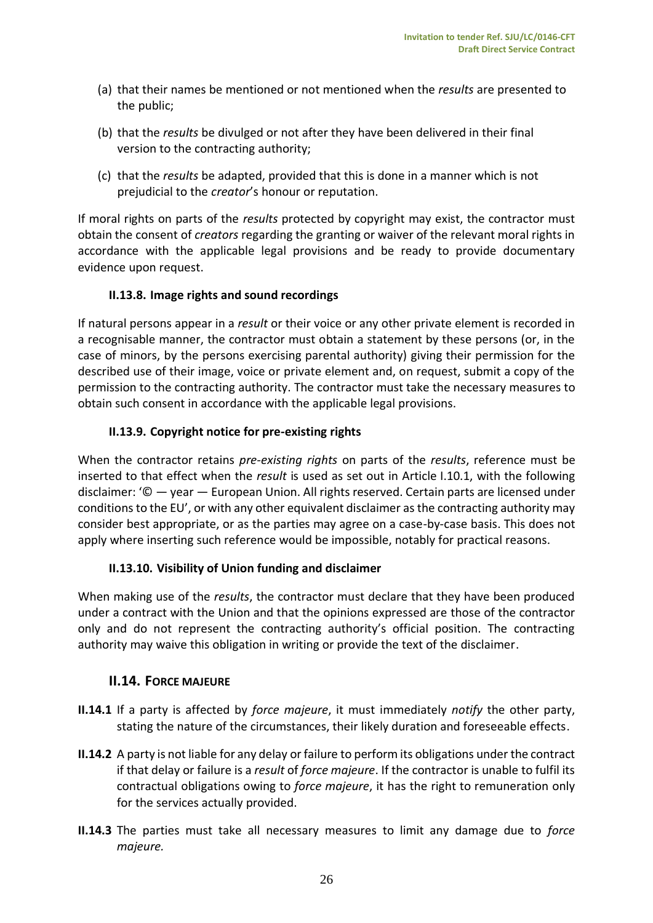- (a) that their names be mentioned or not mentioned when the *results* are presented to the public;
- (b) that the *results* be divulged or not after they have been delivered in their final version to the contracting authority;
- (c) that the *results* be adapted, provided that this is done in a manner which is not prejudicial to the *creator*'s honour or reputation.

If moral rights on parts of the *results* protected by copyright may exist, the contractor must obtain the consent of *creators* regarding the granting or waiver of the relevant moral rights in accordance with the applicable legal provisions and be ready to provide documentary evidence upon request.

## **II.13.8. Image rights and sound recordings**

If natural persons appear in a *result* or their voice or any other private element is recorded in a recognisable manner, the contractor must obtain a statement by these persons (or, in the case of minors, by the persons exercising parental authority) giving their permission for the described use of their image, voice or private element and, on request, submit a copy of the permission to the contracting authority. The contractor must take the necessary measures to obtain such consent in accordance with the applicable legal provisions.

## **II.13.9. Copyright notice for pre-existing rights**

When the contractor retains *pre-existing rights* on parts of the *results*, reference must be inserted to that effect when the *result* is used as set out in Article I.10.1, with the following disclaimer: '© — year — European Union. All rights reserved. Certain parts are licensed under conditions to the EU', or with any other equivalent disclaimer as the contracting authority may consider best appropriate, or as the parties may agree on a case-by-case basis. This does not apply where inserting such reference would be impossible, notably for practical reasons.

## **II.13.10. Visibility of Union funding and disclaimer**

When making use of the *results*, the contractor must declare that they have been produced under a contract with the Union and that the opinions expressed are those of the contractor only and do not represent the contracting authority's official position. The contracting authority may waive this obligation in writing or provide the text of the disclaimer.

## **II.14. FORCE MAJEURE**

- **II.14.1** If a party is affected by *force majeure*, it must immediately *notify* the other party, stating the nature of the circumstances, their likely duration and foreseeable effects.
- **II.14.2** A party is not liable for any delay or failure to perform its obligations under the contract if that delay or failure is a *result* of *force majeure*. If the contractor is unable to fulfil its contractual obligations owing to *force majeure*, it has the right to remuneration only for the services actually provided.
- **II.14.3** The parties must take all necessary measures to limit any damage due to *force majeure.*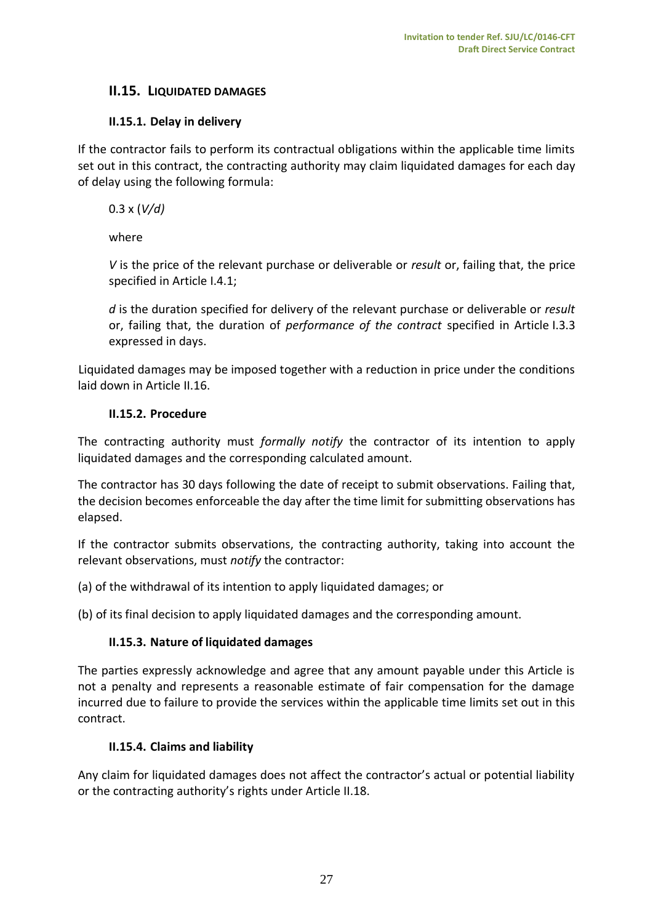## **II.15. LIQUIDATED DAMAGES**

## **II.15.1. Delay in delivery**

If the contractor fails to perform its contractual obligations within the applicable time limits set out in this contract, the contracting authority may claim liquidated damages for each day of delay using the following formula:

0.3 x (*V/d)*

where

*V* is the price of the relevant purchase or deliverable or *result* or, failing that, the price specified in Article I.4.1;

*d* is the duration specified for delivery of the relevant purchase or deliverable or *result* or, failing that, the duration of *performance of the contract* specified in Article I.3.3 expressed in days.

Liquidated damages may be imposed together with a reduction in price under the conditions laid down in Article II.16.

## **II.15.2. Procedure**

The contracting authority must *formally notify* the contractor of its intention to apply liquidated damages and the corresponding calculated amount.

The contractor has 30 days following the date of receipt to submit observations. Failing that, the decision becomes enforceable the day after the time limit for submitting observations has elapsed.

If the contractor submits observations, the contracting authority, taking into account the relevant observations, must *notify* the contractor:

(a) of the withdrawal of its intention to apply liquidated damages; or

(b) of its final decision to apply liquidated damages and the corresponding amount.

## **II.15.3. Nature of liquidated damages**

The parties expressly acknowledge and agree that any amount payable under this Article is not a penalty and represents a reasonable estimate of fair compensation for the damage incurred due to failure to provide the services within the applicable time limits set out in this contract.

## **II.15.4. Claims and liability**

Any claim for liquidated damages does not affect the contractor's actual or potential liability or the contracting authority's rights under Article II.18.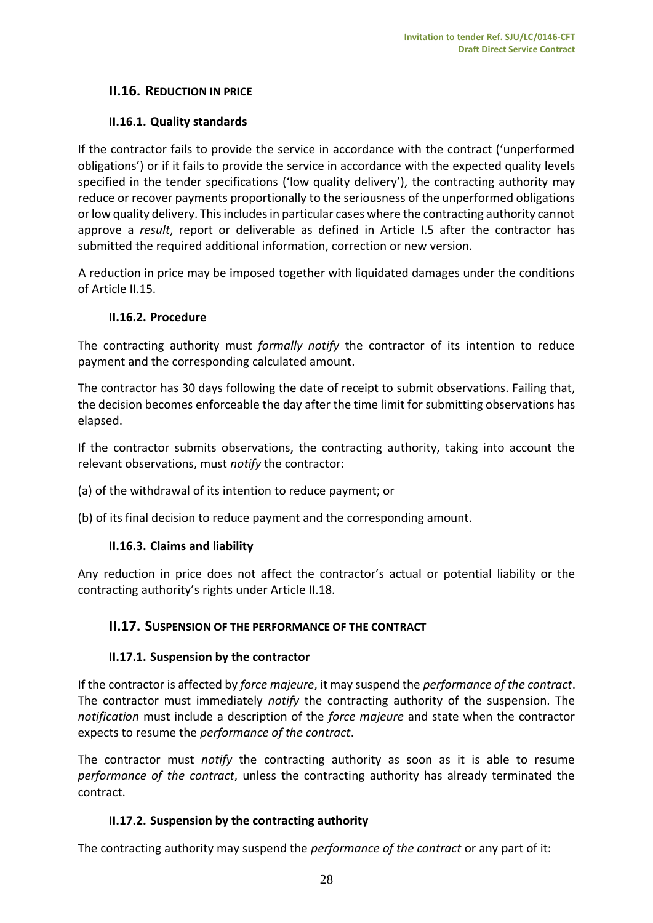## **II.16. REDUCTION IN PRICE**

## **II.16.1. Quality standards**

If the contractor fails to provide the service in accordance with the contract ('unperformed obligations') or if it fails to provide the service in accordance with the expected quality levels specified in the tender specifications ('low quality delivery'), the contracting authority may reduce or recover payments proportionally to the seriousness of the unperformed obligations or low quality delivery. This includes in particular cases where the contracting authority cannot approve a *result*, report or deliverable as defined in Article I.5 after the contractor has submitted the required additional information, correction or new version.

A reduction in price may be imposed together with liquidated damages under the conditions of Article II.15.

## **II.16.2. Procedure**

The contracting authority must *formally notify* the contractor of its intention to reduce payment and the corresponding calculated amount.

The contractor has 30 days following the date of receipt to submit observations. Failing that, the decision becomes enforceable the day after the time limit for submitting observations has elapsed.

If the contractor submits observations, the contracting authority, taking into account the relevant observations, must *notify* the contractor:

- (a) of the withdrawal of its intention to reduce payment; or
- (b) of its final decision to reduce payment and the corresponding amount.

## **II.16.3. Claims and liability**

Any reduction in price does not affect the contractor's actual or potential liability or the contracting authority's rights under Article II.18.

## **II.17. SUSPENSION OF THE PERFORMANCE OF THE CONTRACT**

## **II.17.1. Suspension by the contractor**

If the contractor is affected by *force majeure*, it may suspend the *performance of the contract*. The contractor must immediately *notify* the contracting authority of the suspension. The *notification* must include a description of the *force majeure* and state when the contractor expects to resume the *performance of the contract*.

The contractor must *notify* the contracting authority as soon as it is able to resume *performance of the contract*, unless the contracting authority has already terminated the contract.

## **II.17.2. Suspension by the contracting authority**

The contracting authority may suspend the *performance of the contract* or any part of it: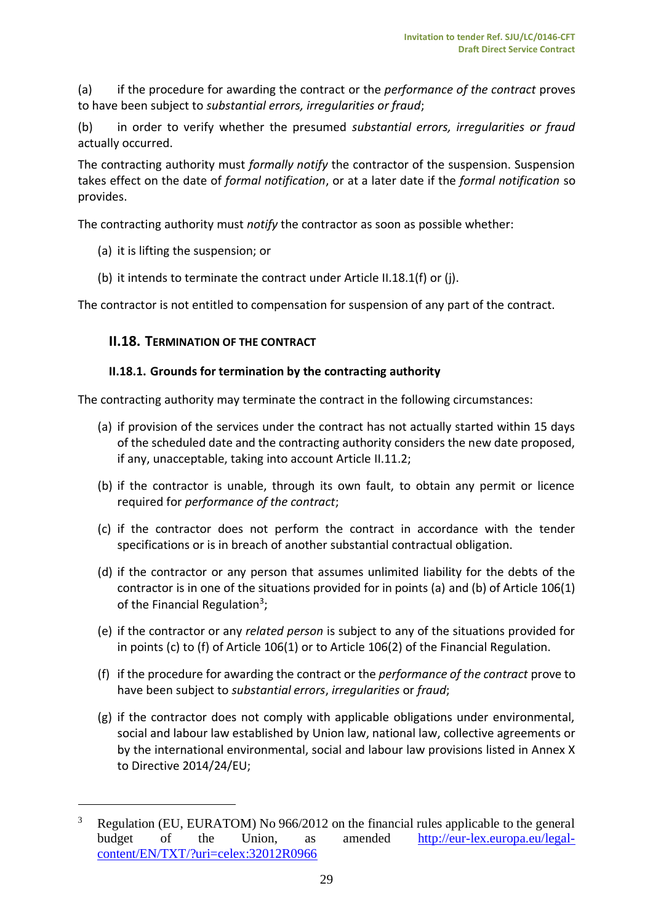(a) if the procedure for awarding the contract or the *performance of the contract* proves to have been subject to *substantial errors, irregularities or fraud*;

(b) in order to verify whether the presumed *substantial errors, irregularities or fraud* actually occurred.

The contracting authority must *formally notify* the contractor of the suspension. Suspension takes effect on the date of *formal notification*, or at a later date if the *formal notification* so provides.

The contracting authority must *notify* the contractor as soon as possible whether:

(a) it is lifting the suspension; or

 $\overline{a}$ 

(b) it intends to terminate the contract under Article II.18.1(f) or (j).

The contractor is not entitled to compensation for suspension of any part of the contract.

## **II.18. TERMINATION OF THE CONTRACT**

## **II.18.1. Grounds for termination by the contracting authority**

The contracting authority may terminate the contract in the following circumstances:

- (a) if provision of the services under the contract has not actually started within 15 days of the scheduled date and the contracting authority considers the new date proposed, if any, unacceptable, taking into account Article II.11.2;
- (b) if the contractor is unable, through its own fault, to obtain any permit or licence required for *performance of the contract*;
- (c) if the contractor does not perform the contract in accordance with the tender specifications or is in breach of another substantial contractual obligation.
- (d) if the contractor or any person that assumes unlimited liability for the debts of the contractor is in one of the situations provided for in points (a) and (b) of Article 106(1) of the Financial Regulation<sup>3</sup>;
- (e) if the contractor or any *related person* is subject to any of the situations provided for in points (c) to (f) of Article 106(1) or to Article 106(2) of the Financial Regulation.
- (f) if the procedure for awarding the contract or the *performance of the contract* prove to have been subject to *substantial errors*, *irregularities* or *fraud*;
- (g) if the contractor does not comply with applicable obligations under environmental, social and labour law established by Union law, national law, collective agreements or by the international environmental, social and labour law provisions listed in Annex X to Directive 2014/24/EU;

<sup>&</sup>lt;sup>3</sup> Regulation (EU, EURATOM) No 966/2012 on the financial rules applicable to the general budget of the Union, as amended http://eur-lex.europa.eu/legalcontent/EN/TXT/?uri=celex:32012R0966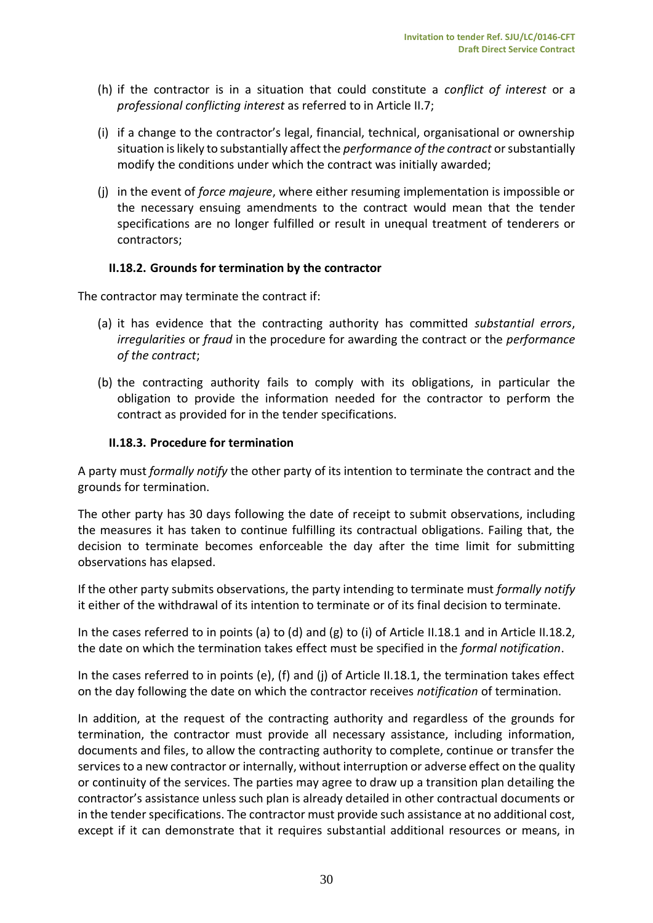- (h) if the contractor is in a situation that could constitute a *conflict of interest* or a *professional conflicting interest* as referred to in Article II.7;
- (i) if a change to the contractor's legal, financial, technical, organisational or ownership situation is likely to substantially affect the *performance of the contract* or substantially modify the conditions under which the contract was initially awarded;
- (j) in the event of *force majeure*, where either resuming implementation is impossible or the necessary ensuing amendments to the contract would mean that the tender specifications are no longer fulfilled or result in unequal treatment of tenderers or contractors;

## **II.18.2. Grounds for termination by the contractor**

The contractor may terminate the contract if:

- (a) it has evidence that the contracting authority has committed *substantial errors*, *irregularities* or *fraud* in the procedure for awarding the contract or the *performance of the contract*;
- (b) the contracting authority fails to comply with its obligations, in particular the obligation to provide the information needed for the contractor to perform the contract as provided for in the tender specifications.

#### **II.18.3. Procedure for termination**

A party must *formally notify* the other party of its intention to terminate the contract and the grounds for termination.

The other party has 30 days following the date of receipt to submit observations, including the measures it has taken to continue fulfilling its contractual obligations. Failing that, the decision to terminate becomes enforceable the day after the time limit for submitting observations has elapsed.

If the other party submits observations, the party intending to terminate must *formally notify* it either of the withdrawal of its intention to terminate or of its final decision to terminate.

In the cases referred to in points (a) to (d) and (g) to (i) of Article II.18.1 and in Article II.18.2, the date on which the termination takes effect must be specified in the *formal notification*.

In the cases referred to in points (e), (f) and (j) of Article II.18.1, the termination takes effect on the day following the date on which the contractor receives *notification* of termination.

In addition, at the request of the contracting authority and regardless of the grounds for termination, the contractor must provide all necessary assistance, including information, documents and files, to allow the contracting authority to complete, continue or transfer the services to a new contractor or internally, without interruption or adverse effect on the quality or continuity of the services. The parties may agree to draw up a transition plan detailing the contractor's assistance unless such plan is already detailed in other contractual documents or in the tender specifications. The contractor must provide such assistance at no additional cost, except if it can demonstrate that it requires substantial additional resources or means, in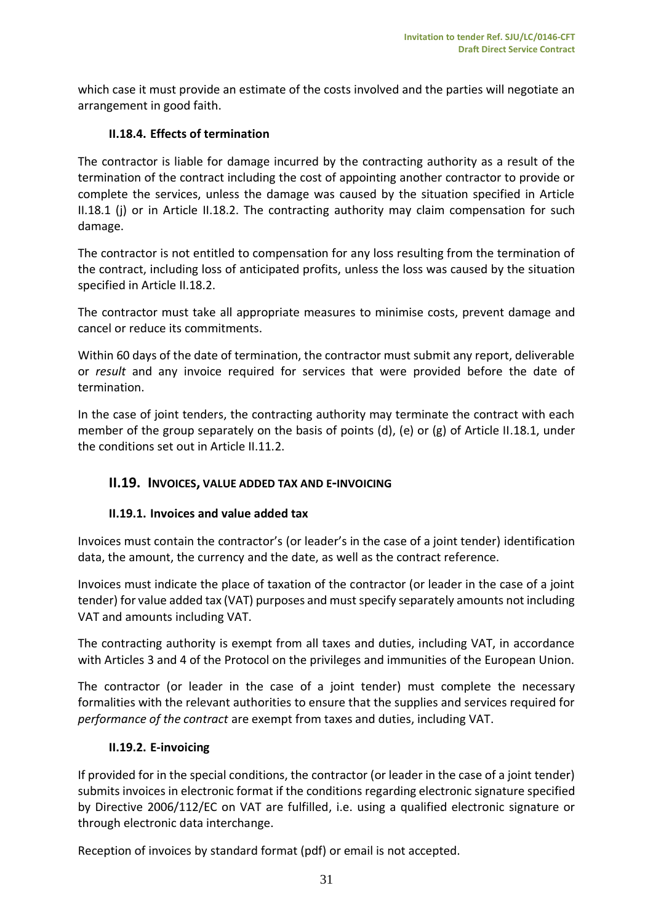which case it must provide an estimate of the costs involved and the parties will negotiate an arrangement in good faith.

## **II.18.4. Effects of termination**

The contractor is liable for damage incurred by the contracting authority as a result of the termination of the contract including the cost of appointing another contractor to provide or complete the services, unless the damage was caused by the situation specified in Article II.18.1 (j) or in Article II.18.2. The contracting authority may claim compensation for such damage.

The contractor is not entitled to compensation for any loss resulting from the termination of the contract, including loss of anticipated profits, unless the loss was caused by the situation specified in Article II.18.2.

The contractor must take all appropriate measures to minimise costs, prevent damage and cancel or reduce its commitments.

Within 60 days of the date of termination, the contractor must submit any report, deliverable or *result* and any invoice required for services that were provided before the date of termination.

In the case of joint tenders, the contracting authority may terminate the contract with each member of the group separately on the basis of points (d), (e) or (g) of Article II.18.1, under the conditions set out in Article II.11.2.

## **II.19. INVOICES, VALUE ADDED TAX AND E-INVOICING**

## **II.19.1. Invoices and value added tax**

Invoices must contain the contractor's (or leader's in the case of a joint tender) identification data, the amount, the currency and the date, as well as the contract reference.

Invoices must indicate the place of taxation of the contractor (or leader in the case of a joint tender) for value added tax (VAT) purposes and must specify separately amounts not including VAT and amounts including VAT.

The contracting authority is exempt from all taxes and duties, including VAT, in accordance with Articles 3 and 4 of the Protocol on the privileges and immunities of the European Union.

The contractor (or leader in the case of a joint tender) must complete the necessary formalities with the relevant authorities to ensure that the supplies and services required for *performance of the contract* are exempt from taxes and duties, including VAT.

## **II.19.2. E-invoicing**

If provided for in the special conditions, the contractor (or leader in the case of a joint tender) submits invoices in electronic format if the conditions regarding electronic signature specified by Directive 2006/112/EC on VAT are fulfilled, i.e. using a qualified electronic signature or through electronic data interchange.

Reception of invoices by standard format (pdf) or email is not accepted.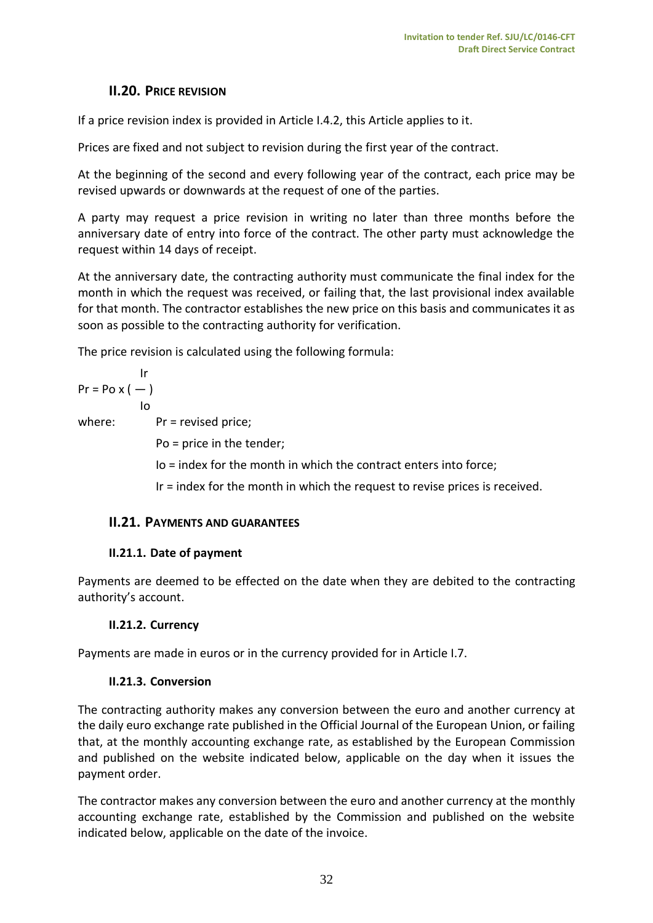## **II.20. PRICE REVISION**

If a price revision index is provided in Article I.4.2, this Article applies to it.

Prices are fixed and not subject to revision during the first year of the contract.

At the beginning of the second and every following year of the contract, each price may be revised upwards or downwards at the request of one of the parties.

A party may request a price revision in writing no later than three months before the anniversary date of entry into force of the contract. The other party must acknowledge the request within 14 days of receipt.

At the anniversary date, the contracting authority must communicate the final index for the month in which the request was received, or failing that, the last provisional index available for that month. The contractor establishes the new price on this basis and communicates it as soon as possible to the contracting authority for verification.

The price revision is calculated using the following formula:

$$
\begin{array}{c}\n & \text{lr} \\
\text{Pr} = \text{Po} \times (-) \\
& \text{lo} \\
\text{where:} \\
& \text{Pr} = \text{revised price};\n \end{array}
$$

Po = price in the tender;

Io = index for the month in which the contract enters into force;

Ir = index for the month in which the request to revise prices is received.

## **II.21. PAYMENTS AND GUARANTEES**

## **II.21.1. Date of payment**

Payments are deemed to be effected on the date when they are debited to the contracting authority's account.

## **II.21.2. Currency**

Payments are made in euros or in the currency provided for in Article I.7.

## **II.21.3. Conversion**

The contracting authority makes any conversion between the euro and another currency at the daily euro exchange rate published in the Official Journal of the European Union, or failing that, at the monthly accounting exchange rate, as established by the European Commission and published on the website indicated below, applicable on the day when it issues the payment order.

The contractor makes any conversion between the euro and another currency at the monthly accounting exchange rate, established by the Commission and published on the website indicated below, applicable on the date of the invoice.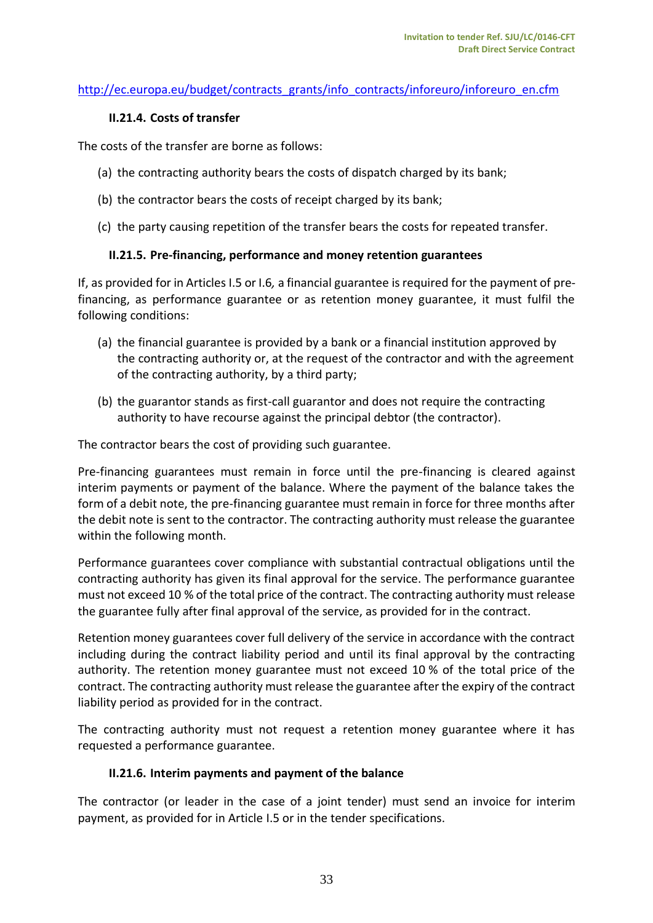#### http://ec.europa.eu/budget/contracts\_grants/info\_contracts/inforeuro/inforeuro\_en.cfm

#### **II.21.4. Costs of transfer**

The costs of the transfer are borne as follows:

- (a) the contracting authority bears the costs of dispatch charged by its bank;
- (b) the contractor bears the costs of receipt charged by its bank;
- (c) the party causing repetition of the transfer bears the costs for repeated transfer.

#### **II.21.5. Pre-financing, performance and money retention guarantees**

If, as provided for in Articles I.5 or I.6*,* a financial guarantee is required for the payment of prefinancing, as performance guarantee or as retention money guarantee, it must fulfil the following conditions:

- (a) the financial guarantee is provided by a bank or a financial institution approved by the contracting authority or, at the request of the contractor and with the agreement of the contracting authority, by a third party;
- (b) the guarantor stands as first-call guarantor and does not require the contracting authority to have recourse against the principal debtor (the contractor).

The contractor bears the cost of providing such guarantee.

Pre-financing guarantees must remain in force until the pre-financing is cleared against interim payments or payment of the balance. Where the payment of the balance takes the form of a debit note, the pre-financing guarantee must remain in force for three months after the debit note is sent to the contractor. The contracting authority must release the guarantee within the following month.

Performance guarantees cover compliance with substantial contractual obligations until the contracting authority has given its final approval for the service. The performance guarantee must not exceed 10 % of the total price of the contract. The contracting authority must release the guarantee fully after final approval of the service, as provided for in the contract.

Retention money guarantees cover full delivery of the service in accordance with the contract including during the contract liability period and until its final approval by the contracting authority. The retention money guarantee must not exceed 10 % of the total price of the contract. The contracting authority must release the guarantee after the expiry of the contract liability period as provided for in the contract.

The contracting authority must not request a retention money guarantee where it has requested a performance guarantee.

#### **II.21.6. Interim payments and payment of the balance**

The contractor (or leader in the case of a joint tender) must send an invoice for interim payment, as provided for in Article I.5 or in the tender specifications.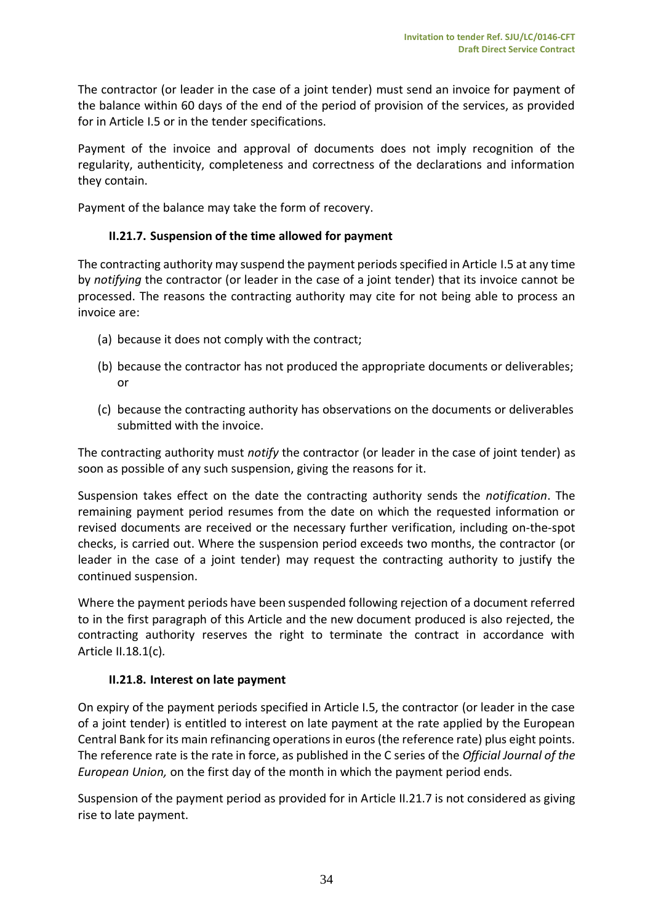The contractor (or leader in the case of a joint tender) must send an invoice for payment of the balance within 60 days of the end of the period of provision of the services, as provided for in Article I.5 or in the tender specifications.

Payment of the invoice and approval of documents does not imply recognition of the regularity, authenticity, completeness and correctness of the declarations and information they contain.

Payment of the balance may take the form of recovery.

## **II.21.7. Suspension of the time allowed for payment**

The contracting authority may suspend the payment periods specified in Article I.5 at any time by *notifying* the contractor (or leader in the case of a joint tender) that its invoice cannot be processed. The reasons the contracting authority may cite for not being able to process an invoice are:

- (a) because it does not comply with the contract;
- (b) because the contractor has not produced the appropriate documents or deliverables; or
- (c) because the contracting authority has observations on the documents or deliverables submitted with the invoice.

The contracting authority must *notify* the contractor (or leader in the case of joint tender) as soon as possible of any such suspension, giving the reasons for it.

Suspension takes effect on the date the contracting authority sends the *notification*. The remaining payment period resumes from the date on which the requested information or revised documents are received or the necessary further verification, including on-the-spot checks, is carried out. Where the suspension period exceeds two months, the contractor (or leader in the case of a joint tender) may request the contracting authority to justify the continued suspension.

Where the payment periods have been suspended following rejection of a document referred to in the first paragraph of this Article and the new document produced is also rejected, the contracting authority reserves the right to terminate the contract in accordance with Article II.18.1(c)*.*

## **II.21.8. Interest on late payment**

On expiry of the payment periods specified in Article I.5, the contractor (or leader in the case of a joint tender) is entitled to interest on late payment at the rate applied by the European Central Bank for its main refinancing operations in euros (the reference rate) plus eight points. The reference rate is the rate in force, as published in the C series of the *Official Journal of the European Union,* on the first day of the month in which the payment period ends.

Suspension of the payment period as provided for in Article II.21.7 is not considered as giving rise to late payment.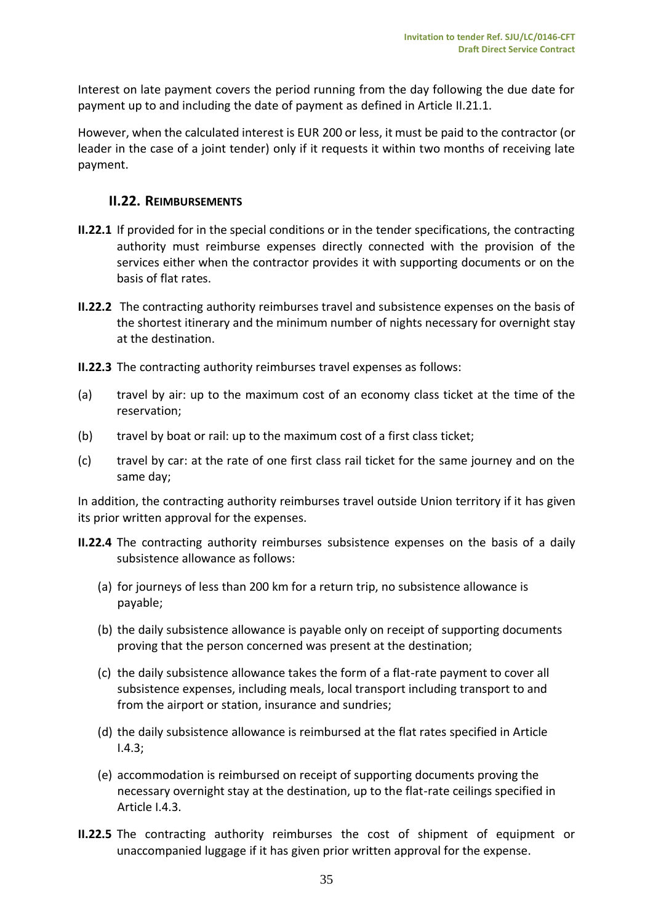Interest on late payment covers the period running from the day following the due date for payment up to and including the date of payment as defined in Article II.21.1.

However, when the calculated interest is EUR 200 or less, it must be paid to the contractor (or leader in the case of a joint tender) only if it requests it within two months of receiving late payment.

## **II.22. REIMBURSEMENTS**

- **II.22.1** If provided for in the special conditions or in the tender specifications, the contracting authority must reimburse expenses directly connected with the provision of the services either when the contractor provides it with supporting documents or on the basis of flat rates.
- **II.22.2** The contracting authority reimburses travel and subsistence expenses on the basis of the shortest itinerary and the minimum number of nights necessary for overnight stay at the destination.
- **II.22.3** The contracting authority reimburses travel expenses as follows:
- (a) travel by air: up to the maximum cost of an economy class ticket at the time of the reservation;
- (b) travel by boat or rail: up to the maximum cost of a first class ticket;
- (c) travel by car: at the rate of one first class rail ticket for the same journey and on the same day;

In addition, the contracting authority reimburses travel outside Union territory if it has given its prior written approval for the expenses.

- **II.22.4** The contracting authority reimburses subsistence expenses on the basis of a daily subsistence allowance as follows:
	- (a) for journeys of less than 200 km for a return trip, no subsistence allowance is payable;
	- (b) the daily subsistence allowance is payable only on receipt of supporting documents proving that the person concerned was present at the destination;
	- (c) the daily subsistence allowance takes the form of a flat-rate payment to cover all subsistence expenses, including meals, local transport including transport to and from the airport or station, insurance and sundries;
	- (d) the daily subsistence allowance is reimbursed at the flat rates specified in Article I.4.3;
	- (e) accommodation is reimbursed on receipt of supporting documents proving the necessary overnight stay at the destination, up to the flat-rate ceilings specified in Article I.4.3.
- **II.22.5** The contracting authority reimburses the cost of shipment of equipment or unaccompanied luggage if it has given prior written approval for the expense.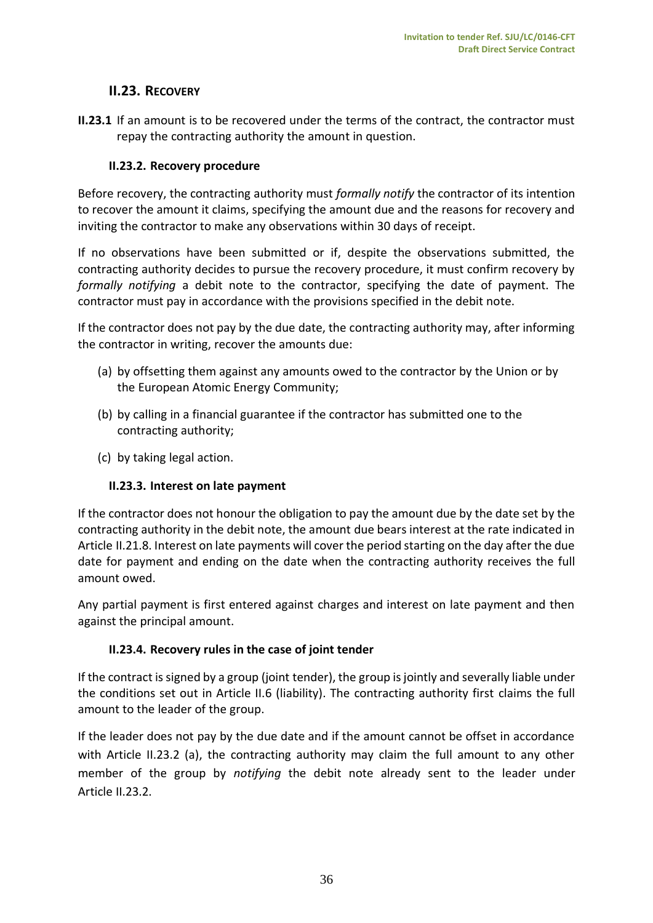## **II.23. RECOVERY**

**II.23.1** If an amount is to be recovered under the terms of the contract, the contractor must repay the contracting authority the amount in question.

## **II.23.2. Recovery procedure**

Before recovery, the contracting authority must *formally notify* the contractor of its intention to recover the amount it claims, specifying the amount due and the reasons for recovery and inviting the contractor to make any observations within 30 days of receipt.

If no observations have been submitted or if, despite the observations submitted, the contracting authority decides to pursue the recovery procedure, it must confirm recovery by *formally notifying* a debit note to the contractor, specifying the date of payment. The contractor must pay in accordance with the provisions specified in the debit note.

If the contractor does not pay by the due date, the contracting authority may, after informing the contractor in writing, recover the amounts due:

- (a) by offsetting them against any amounts owed to the contractor by the Union or by the European Atomic Energy Community;
- (b) by calling in a financial guarantee if the contractor has submitted one to the contracting authority;
- (c) by taking legal action.

## **II.23.3. Interest on late payment**

If the contractor does not honour the obligation to pay the amount due by the date set by the contracting authority in the debit note, the amount due bears interest at the rate indicated in Article II.21.8. Interest on late payments will cover the period starting on the day after the due date for payment and ending on the date when the contracting authority receives the full amount owed.

Any partial payment is first entered against charges and interest on late payment and then against the principal amount.

## **II.23.4. Recovery rules in the case of joint tender**

If the contract is signed by a group (joint tender), the group is jointly and severally liable under the conditions set out in Article II.6 (liability). The contracting authority first claims the full amount to the leader of the group.

If the leader does not pay by the due date and if the amount cannot be offset in accordance with Article II.23.2 (a), the contracting authority may claim the full amount to any other member of the group by *notifying* the debit note already sent to the leader under Article II.23.2.